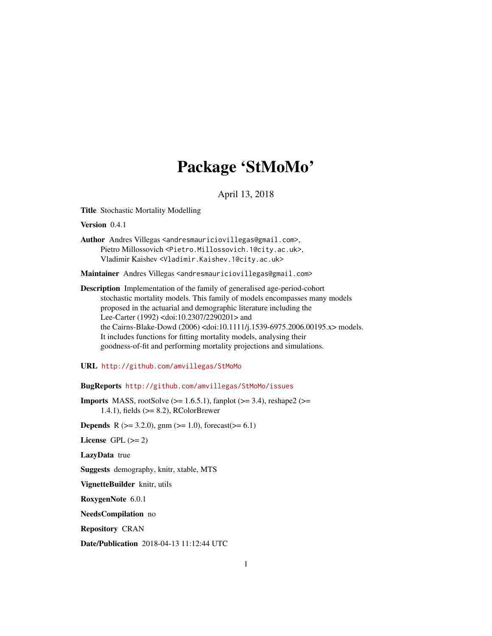# Package 'StMoMo'

April 13, 2018

<span id="page-0-0"></span>Title Stochastic Mortality Modelling

Version 0.4.1

Author Andres Villegas <andresmauriciovillegas@gmail.com>, Pietro Millossovich <Pietro.Millossovich.1@city.ac.uk>, Vladimir Kaishev <Vladimir.Kaishev.1@city.ac.uk>

Maintainer Andres Villegas <andresmauriciovillegas@gmail.com>

Description Implementation of the family of generalised age-period-cohort stochastic mortality models. This family of models encompasses many models proposed in the actuarial and demographic literature including the Lee-Carter (1992) <doi:10.2307/2290201> and the Cairns-Blake-Dowd (2006) <doi:10.1111/j.1539-6975.2006.00195.x> models. It includes functions for fitting mortality models, analysing their goodness-of-fit and performing mortality projections and simulations.

URL <http://github.com/amvillegas/StMoMo>

BugReports <http://github.com/amvillegas/StMoMo/issues>

**Imports** MASS, rootSolve  $(>= 1.6.5.1)$ , fanplot  $(>= 3.4)$ , reshape2  $(>= 1.6.5.1)$ 1.4.1), fields (>= 8.2), RColorBrewer

**Depends** R ( $>= 3.2.0$ ), gnm ( $>= 1.0$ ), forecast( $>= 6.1$ )

License GPL  $(>= 2)$ 

LazyData true

Suggests demography, knitr, xtable, MTS

VignetteBuilder knitr, utils

RoxygenNote 6.0.1

NeedsCompilation no

Repository CRAN

Date/Publication 2018-04-13 11:12:44 UTC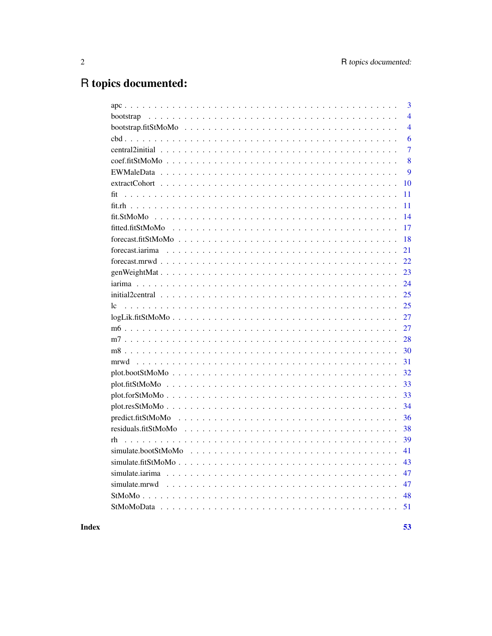# R topics documented:

|                  | 3              |
|------------------|----------------|
|                  | $\overline{4}$ |
|                  | $\overline{4}$ |
|                  | 6              |
|                  | 7              |
|                  | 8              |
|                  | 9              |
|                  | 10             |
| fit<br>11        |                |
| 11               |                |
|                  | 14             |
|                  | 17             |
|                  | 18             |
| 21               |                |
|                  | 22             |
|                  | 23             |
|                  | 24             |
| 25               |                |
| 1c               | 25             |
| logLik.fit5tMoMo | 27             |
|                  | 27             |
|                  | 28             |
|                  | 30             |
| 31               |                |
| plot. bootStMoMo | 32             |
|                  | 33             |
|                  | 33             |
|                  | 34             |
|                  | 36             |
|                  | 38             |
| rh               | 39             |
| 41               |                |
| 43               |                |
|                  | 47             |
|                  | 47             |
| 48               |                |
| 51               |                |

**Index**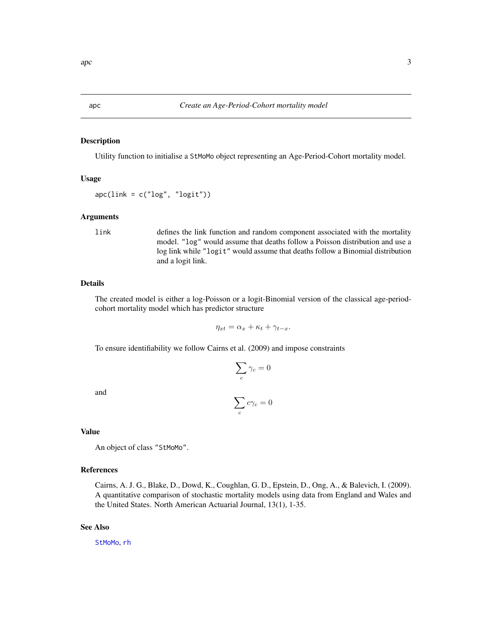<span id="page-2-1"></span><span id="page-2-0"></span>apc *Create an Age-Period-Cohort mortality model*

## Description

Utility function to initialise a StMoMo object representing an Age-Period-Cohort mortality model.

#### Usage

 $apc(link = c("log", "logit"))$ 

## Arguments

link defines the link function and random component associated with the mortality model. "log" would assume that deaths follow a Poisson distribution and use a log link while "logit" would assume that deaths follow a Binomial distribution and a logit link.

#### Details

The created model is either a log-Poisson or a logit-Binomial version of the classical age-periodcohort mortality model which has predictor structure

$$
\eta_{xt} = \alpha_x + \kappa_t + \gamma_{t-x}.
$$

To ensure identifiability we follow Cairns et al. (2009) and impose constraints

$$
\sum_c \gamma_c = 0
$$

and

$$
\sum_c c\gamma_c=0
$$

#### Value

An object of class "StMoMo".

#### References

Cairns, A. J. G., Blake, D., Dowd, K., Coughlan, G. D., Epstein, D., Ong, A., & Balevich, I. (2009). A quantitative comparison of stochastic mortality models using data from England and Wales and the United States. North American Actuarial Journal, 13(1), 1-35.

#### See Also

[StMoMo](#page-47-1), [rh](#page-38-1)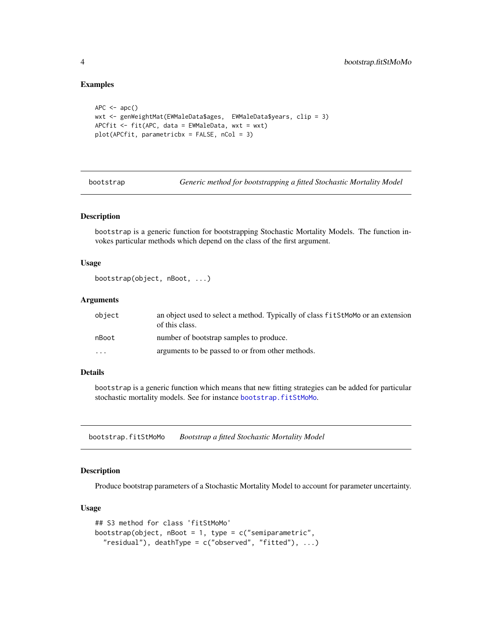#### Examples

```
APC \leq apc()wxt <- genWeightMat(EWMaleData$ages, EWMaleData$years, clip = 3)
APCfit <- fit(APC, data = EWMaleData, wxt = wxt)
plot(APCfit, parametricbx = FALSE, nCol = 3)
```
bootstrap *Generic method for bootstrapping a fitted Stochastic Mortality Model*

## Description

bootstrap is a generic function for bootstrapping Stochastic Mortality Models. The function invokes particular methods which depend on the class of the first argument.

#### Usage

bootstrap(object, nBoot, ...)

## Arguments

| object                  | an object used to select a method. Typically of class fit StMoMo or an extension<br>of this class. |
|-------------------------|----------------------------------------------------------------------------------------------------|
| nBoot                   | number of bootstrap samples to produce.                                                            |
| $\cdot$ $\cdot$ $\cdot$ | arguments to be passed to or from other methods.                                                   |

## Details

bootstrap is a generic function which means that new fitting strategies can be added for particular stochastic mortality models. See for instance [bootstrap.fitStMoMo](#page-3-1).

<span id="page-3-1"></span>bootstrap.fitStMoMo *Bootstrap a fitted Stochastic Mortality Model*

#### Description

Produce bootstrap parameters of a Stochastic Mortality Model to account for parameter uncertainty.

#### Usage

```
## S3 method for class 'fitStMoMo'
bootstrap(object, nBoot = 1, type = c("semiparametric",
  "residual"), deathType = c("observed", "fitted"), ...)
```
<span id="page-3-0"></span>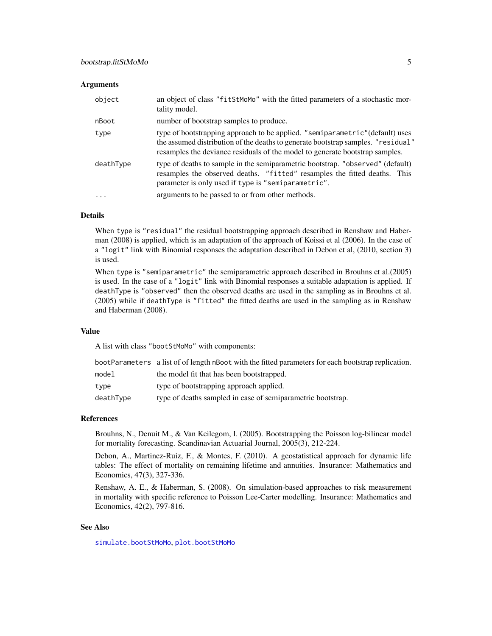#### <span id="page-4-0"></span>**Arguments**

| object    | an object of class "fitst MoMo" with the fitted parameters of a stochastic mor-<br>tality model.                                                                                                                                                  |
|-----------|---------------------------------------------------------------------------------------------------------------------------------------------------------------------------------------------------------------------------------------------------|
| nBoot     | number of bootstrap samples to produce.                                                                                                                                                                                                           |
| type      | type of bootstrapping approach to be applied. "semiparametric" (default) uses<br>the assumed distribution of the deaths to generate bootstrap samples. "residual"<br>resamples the deviance residuals of the model to generate bootstrap samples. |
| deathType | type of deaths to sample in the semiparametric bootstrap. "observed" (default)<br>resamples the observed deaths. "fitted" resamples the fitted deaths. This<br>parameter is only used if type is "semiparametric".                                |
|           | arguments to be passed to or from other methods.                                                                                                                                                                                                  |

## Details

When type is "residual" the residual bootstrapping approach described in Renshaw and Haberman (2008) is applied, which is an adaptation of the approach of Koissi et al (2006). In the case of a "logit" link with Binomial responses the adaptation described in Debon et al, (2010, section 3) is used.

When type is "semiparametric" the semiparametric approach described in Brouhns et al.(2005) is used. In the case of a "logit" link with Binomial responses a suitable adaptation is applied. If deathType is "observed" then the observed deaths are used in the sampling as in Brouhns et al. (2005) while if deathType is "fitted" the fitted deaths are used in the sampling as in Renshaw and Haberman (2008).

## Value

A list with class "bootStMoMo" with components:

|       | bootParameters a list of of length nBoot with the fitted parameters for each bootstrap replication. |
|-------|-----------------------------------------------------------------------------------------------------|
| model | the model fit that has been bootstrapped.                                                           |
|       |                                                                                                     |

| type |  | type of bootstrapping approach applied. |
|------|--|-----------------------------------------|
|      |  |                                         |

deathType type of deaths sampled in case of semiparametric bootstrap.

#### References

Brouhns, N., Denuit M., & Van Keilegom, I. (2005). Bootstrapping the Poisson log-bilinear model for mortality forecasting. Scandinavian Actuarial Journal, 2005(3), 212-224.

Debon, A., Martinez-Ruiz, F., & Montes, F. (2010). A geostatistical approach for dynamic life tables: The effect of mortality on remaining lifetime and annuities. Insurance: Mathematics and Economics, 47(3), 327-336.

Renshaw, A. E., & Haberman, S. (2008). On simulation-based approaches to risk measurement in mortality with specific reference to Poisson Lee-Carter modelling. Insurance: Mathematics and Economics, 42(2), 797-816.

#### See Also

[simulate.bootStMoMo](#page-40-1), [plot.bootStMoMo](#page-31-1)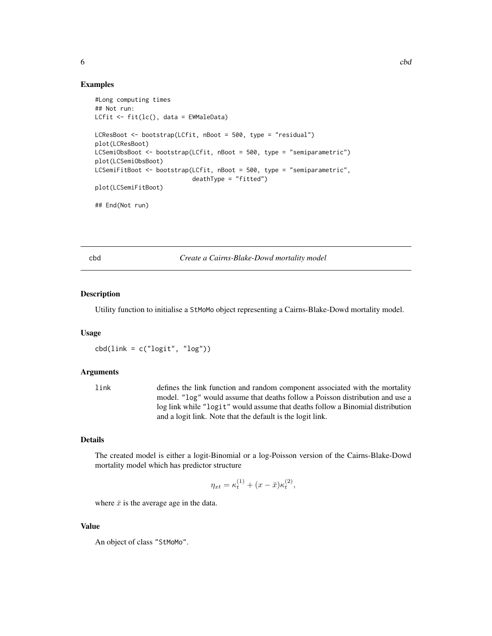## Examples

```
#Long computing times
## Not run:
LCfit <- fit(lc(), data = EWMaleData)
LCResBoot <- bootstrap(LCfit, nBoot = 500, type = "residual")
plot(LCResBoot)
LCSemiObsBoot <- bootstrap(LCfit, nBoot = 500, type = "semiparametric")
plot(LCSemiObsBoot)
LCSemiFitBoot <- bootstrap(LCfit, nBoot = 500, type = "semiparametric",
                           deathType = "fitted")
plot(LCSemiFitBoot)
## End(Not run)
```
<span id="page-5-1"></span>cbd *Create a Cairns-Blake-Dowd mortality model*

#### Description

Utility function to initialise a StMoMo object representing a Cairns-Blake-Dowd mortality model.

#### Usage

 $\text{cbd}(\text{link} = \text{c}("\text{logit}'', "log"))$ 

#### Arguments

link defines the link function and random component associated with the mortality model. "log" would assume that deaths follow a Poisson distribution and use a log link while "logit" would assume that deaths follow a Binomial distribution and a logit link. Note that the default is the logit link.

## Details

The created model is either a logit-Binomial or a log-Poisson version of the Cairns-Blake-Dowd mortality model which has predictor structure

$$
\eta_{xt} = \kappa_t^{(1)} + (x - \bar{x})\kappa_t^{(2)},
$$

where  $\bar{x}$  is the average age in the data.

## Value

An object of class "StMoMo".

<span id="page-5-0"></span>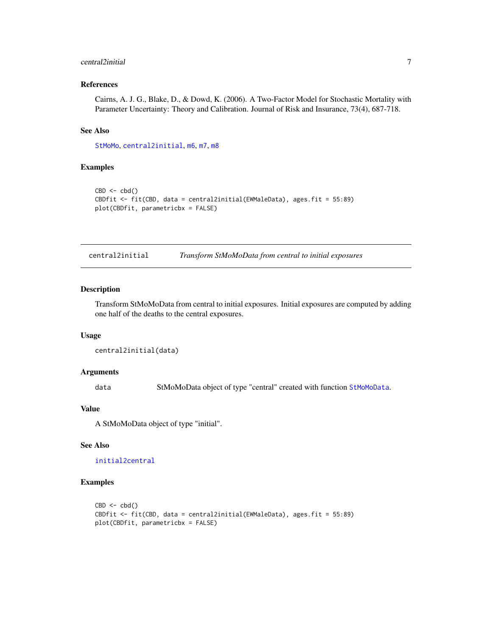## <span id="page-6-0"></span>central2initial 7

## References

Cairns, A. J. G., Blake, D., & Dowd, K. (2006). A Two-Factor Model for Stochastic Mortality with Parameter Uncertainty: Theory and Calibration. Journal of Risk and Insurance, 73(4), 687-718.

## See Also

[StMoMo](#page-47-1), [central2initial](#page-6-1), [m6](#page-26-1), [m7](#page-27-1), [m8](#page-29-1)

#### Examples

```
CBD \leq -\text{cbd}()CBDfit <- fit(CBD, data = central2initial(EWMaleData), ages.fit = 55:89)
plot(CBDfit, parametricbx = FALSE)
```
<span id="page-6-1"></span>central2initial *Transform StMoMoData from central to initial exposures*

#### Description

Transform StMoMoData from central to initial exposures. Initial exposures are computed by adding one half of the deaths to the central exposures.

#### Usage

```
central2initial(data)
```
## Arguments

data StMoMoData object of type "central" created with function [StMoMoData](#page-50-1).

#### Value

A StMoMoData object of type "initial".

## See Also

[initial2central](#page-24-1)

```
CBD \leq -\text{cbd}()CBDfit <- fit(CBD, data = central2initial(EWMaleData), ages.fit = 55:89)
plot(CBDfit, parametricbx = FALSE)
```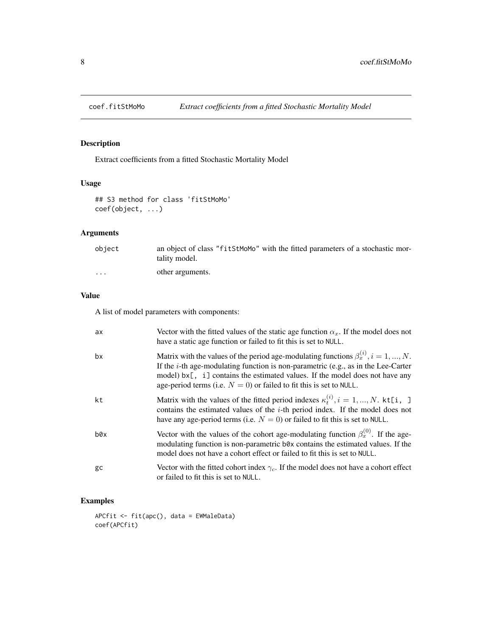<span id="page-7-0"></span>

Extract coefficients from a fitted Stochastic Mortality Model

## Usage

```
## S3 method for class 'fitStMoMo'
coef(object, ...)
```
## Arguments

| object            | an object of class "fitst MoMo" with the fitted parameters of a stochastic mor-<br>tality model. |
|-------------------|--------------------------------------------------------------------------------------------------|
| $\cdot\cdot\cdot$ | other arguments.                                                                                 |

## Value

A list of model parameters with components:

| ax  | Vector with the fitted values of the static age function $\alpha_x$ . If the model does not<br>have a static age function or failed to fit this is set to NULL.                                                                                                                                                                                       |
|-----|-------------------------------------------------------------------------------------------------------------------------------------------------------------------------------------------------------------------------------------------------------------------------------------------------------------------------------------------------------|
| bx  | Matrix with the values of the period age-modulating functions $\beta_x^{(i)}$ , $i = 1, , N$ .<br>If the <i>i</i> -th age-modulating function is non-parametric (e.g., as in the Lee-Carter<br>model) bx[, i] contains the estimated values. If the model does not have any<br>age-period terms (i.e. $N = 0$ ) or failed to fit this is set to NULL. |
| kt  | Matrix with the values of the fitted period indexes $\kappa_t^{(i)}$ , $i = 1, , N$ . kt[i, ]<br>contains the estimated values of the $i$ -th period index. If the model does not<br>have any age-period terms (i.e. $N = 0$ ) or failed to fit this is set to NULL.                                                                                  |
| b0x | Vector with the values of the cohort age-modulating function $\beta_x^{(0)}$ . If the age-<br>modulating function is non-parametric b0x contains the estimated values. If the<br>model does not have a cohort effect or failed to fit this is set to NULL.                                                                                            |
| gc  | Vector with the fitted cohort index $\gamma_c$ . If the model does not have a cohort effect<br>or failed to fit this is set to NULL.                                                                                                                                                                                                                  |

```
APCfit <- fit(apc(), data = EWMaleData)
coef(APCfit)
```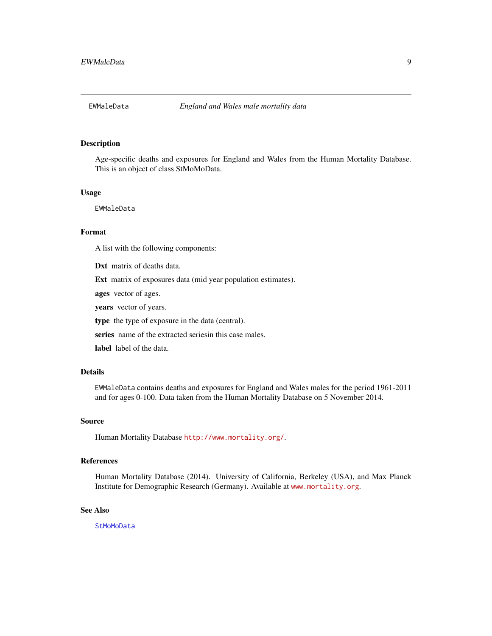<span id="page-8-1"></span><span id="page-8-0"></span>Age-specific deaths and exposures for England and Wales from the Human Mortality Database. This is an object of class StMoMoData.

#### Usage

EWMaleData

#### Format

A list with the following components:

Dxt matrix of deaths data.

Ext matrix of exposures data (mid year population estimates).

ages vector of ages.

years vector of years.

type the type of exposure in the data (central).

series name of the extracted series in this case males.

label label of the data.

## Details

EWMaleData contains deaths and exposures for England and Wales males for the period 1961-2011 and for ages 0-100. Data taken from the Human Mortality Database on 5 November 2014.

#### Source

Human Mortality Database <http://www.mortality.org/>.

#### References

Human Mortality Database (2014). University of California, Berkeley (USA), and Max Planck Institute for Demographic Research (Germany). Available at <www.mortality.org>.

## See Also

**[StMoMoData](#page-50-1)**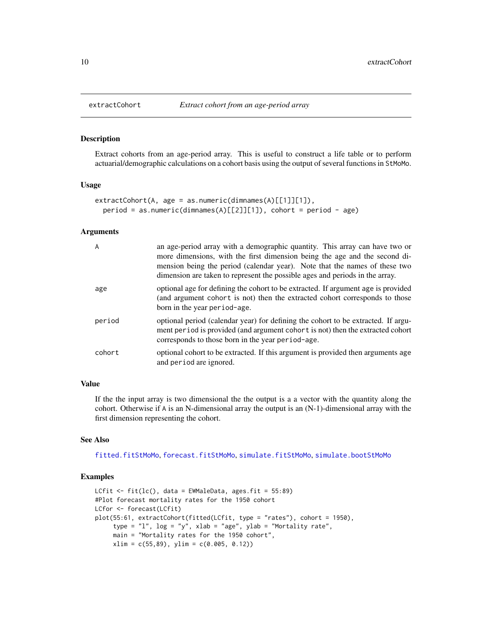Extract cohorts from an age-period array. This is useful to construct a life table or to perform actuarial/demographic calculations on a cohort basis using the output of several functions in StMoMo.

## Usage

```
extractionort(A, age = as.numeric(dimnames(A)[[1]][1]),period = as.numeric(dimnames(A)[[2]][1]), cohort = period - age)
```
#### Arguments

| A      | an age-period array with a demographic quantity. This array can have two or<br>more dimensions, with the first dimension being the age and the second di-<br>mension being the period (calendar year). Note that the names of these two<br>dimension are taken to represent the possible ages and periods in the array. |
|--------|-------------------------------------------------------------------------------------------------------------------------------------------------------------------------------------------------------------------------------------------------------------------------------------------------------------------------|
| age    | optional age for defining the cohort to be extracted. If argument age is provided<br>(and argument cohort is not) then the extracted cohort corresponds to those<br>born in the year period-age.                                                                                                                        |
| period | optional period (calendar year) for defining the cohort to be extracted. If argu-<br>ment period is provided (and argument cohort is not) then the extracted cohort<br>corresponds to those born in the year period-age.                                                                                                |
| cohort | optional cohort to be extracted. If this argument is provided then arguments age<br>and period are ignored.                                                                                                                                                                                                             |

## Value

If the the input array is two dimensional the the output is a a vector with the quantity along the cohort. Otherwise if A is an N-dimensional array the output is an (N-1)-dimensional array with the first dimension representing the cohort.

#### See Also

[fitted.fitStMoMo](#page-16-1), [forecast.fitStMoMo](#page-17-1), [simulate.fitStMoMo](#page-42-1), [simulate.bootStMoMo](#page-40-1)

```
LCfit \le fit(lc(), data = EWMaleData, ages.fit = 55:89)
#Plot forecast mortality rates for the 1950 cohort
LCfor <- forecast(LCfit)
plot(55:61, extractCohort(fitted(LCfit, type = "rates"), cohort = 1950),
     type = "l", log = "y", xlab = "age", ylab = "Mortality rate",
     main = "Mortality rates for the 1950 cohort",
    xlim = c(55, 89), ylim = c(0.005, 0.12)
```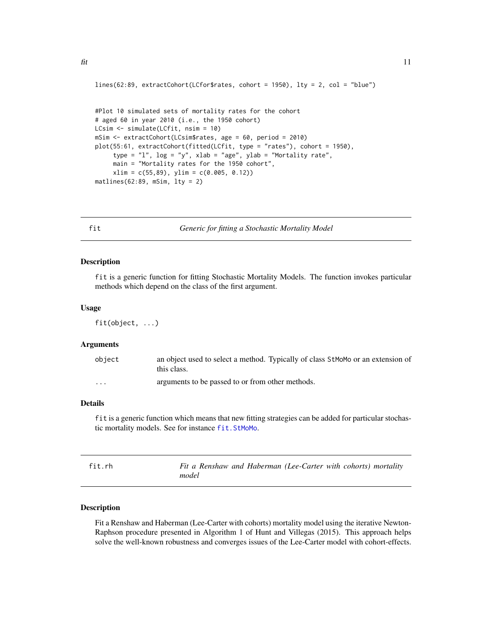```
lines(62:89, extractCohort(LCfor$rates, cohort = 1950), lty = 2, col = "blue")
#Plot 10 simulated sets of mortality rates for the cohort
# aged 60 in year 2010 (i.e., the 1950 cohort)
LCsim <- simulate(LCfit, nsim = 10)
mSim <- extractCohort(LCsim$rates, age = 60, period = 2010)
plot(55:61, extractCohort(fitted(LCfit, type = "rates"), cohort = 1950),
     type = "1", \log = "y", xlab = "age", ylab = "Mortality rate",
     main = "Mortality rates for the 1950 cohort",
     xlim = c(55, 89), ylim = c(0.005, 0.12)matlines(62:89, mSim, lty = 2)
```

Generic for fitting a Stochastic Mortality Model

## Description

fit is a generic function for fitting Stochastic Mortality Models. The function invokes particular methods which depend on the class of the first argument.

#### Usage

fit(object, ...)

#### Arguments

| object               | an object used to select a method. Typically of class StMoMo or an extension of<br>this class. |
|----------------------|------------------------------------------------------------------------------------------------|
| $\ddot{\phantom{0}}$ | arguments to be passed to or from other methods.                                               |

## Details

fit is a generic function which means that new fitting strategies can be added for particular stochastic mortality models. See for instance [fit.StMoMo](#page-13-1).

<span id="page-10-1"></span>

| fit.rh | Fit a Renshaw and Haberman (Lee-Carter with cohorts) mortality |
|--------|----------------------------------------------------------------|
|        | model                                                          |

#### Description

Fit a Renshaw and Haberman (Lee-Carter with cohorts) mortality model using the iterative Newton-Raphson procedure presented in Algorithm 1 of Hunt and Villegas (2015). This approach helps solve the well-known robustness and converges issues of the Lee-Carter model with cohort-effects.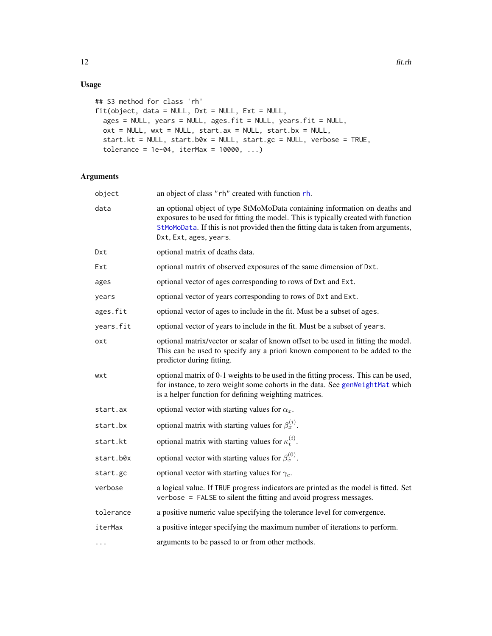## Usage

```
## S3 method for class 'rh'
fit(object, data = NULL, Dxt = NULL, Ext = NULL,
 ages = NULL, years = NULL, ages.fit = NULL, years.fit = NULL,
 ext = NULL, wxt = NULL, start.ax = NULL, start.bx = NULL,
 start.kt = NULL, start.b0x = NULL, start.gc = NULL, verbose = TRUE,
  tolerance = 1e-04, iterMax = 10000, ...)
```
## Arguments

| object    | an object of class "rh" created with function rh.                                                                                                                                                                                                                                 |
|-----------|-----------------------------------------------------------------------------------------------------------------------------------------------------------------------------------------------------------------------------------------------------------------------------------|
| data      | an optional object of type StMoMoData containing information on deaths and<br>exposures to be used for fitting the model. This is typically created with function<br>StMoMoData. If this is not provided then the fitting data is taken from arguments,<br>Dxt, Ext, ages, years. |
| Dxt       | optional matrix of deaths data.                                                                                                                                                                                                                                                   |
| Ext       | optional matrix of observed exposures of the same dimension of Dxt.                                                                                                                                                                                                               |
| ages      | optional vector of ages corresponding to rows of Dxt and Ext.                                                                                                                                                                                                                     |
| years     | optional vector of years corresponding to rows of Dxt and Ext.                                                                                                                                                                                                                    |
| ages.fit  | optional vector of ages to include in the fit. Must be a subset of ages.                                                                                                                                                                                                          |
| years.fit | optional vector of years to include in the fit. Must be a subset of years.                                                                                                                                                                                                        |
| oxt       | optional matrix/vector or scalar of known offset to be used in fitting the model.<br>This can be used to specify any a priori known component to be added to the<br>predictor during fitting.                                                                                     |
| wxt       | optional matrix of 0-1 weights to be used in the fitting process. This can be used,<br>for instance, to zero weight some cohorts in the data. See genWeightMat which<br>is a helper function for defining weighting matrices.                                                     |
| start.ax  | optional vector with starting values for $\alpha_x$ .                                                                                                                                                                                                                             |
| start.bx  | optional matrix with starting values for $\beta_x^{(i)}$ .                                                                                                                                                                                                                        |
| start.kt  | optional matrix with starting values for $\kappa_t^{(i)}$ .                                                                                                                                                                                                                       |
| start.b0x | optional vector with starting values for $\beta_x^{(0)}$ .                                                                                                                                                                                                                        |
| start.gc  | optional vector with starting values for $\gamma_c$ .                                                                                                                                                                                                                             |
| verbose   | a logical value. If TRUE progress indicators are printed as the model is fitted. Set<br>verbose = FALSE to silent the fitting and avoid progress messages.                                                                                                                        |
| tolerance | a positive numeric value specifying the tolerance level for convergence.                                                                                                                                                                                                          |
| iterMax   | a positive integer specifying the maximum number of iterations to perform.                                                                                                                                                                                                        |
| .         | arguments to be passed to or from other methods.                                                                                                                                                                                                                                  |

<span id="page-11-0"></span>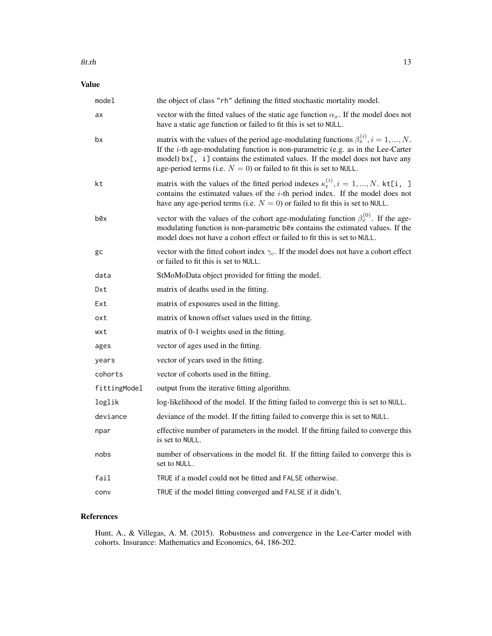#### fit.rh 13

Value

| model        | the object of class "rh" defining the fitted stochastic mortality model.                                                                                                                                                                                                                                                                        |
|--------------|-------------------------------------------------------------------------------------------------------------------------------------------------------------------------------------------------------------------------------------------------------------------------------------------------------------------------------------------------|
| ax           | vector with the fitted values of the static age function $\alpha_x$ . If the model does not<br>have a static age function or failed to fit this is set to NULL.                                                                                                                                                                                 |
| bx           | matrix with the values of the period age-modulating functions $\beta_x^{(i)}$ , $i = 1, , N$ .<br>If the $i$ -th age-modulating function is non-parametric (e.g. as in the Lee-Carter<br>model) bx[, i] contains the estimated values. If the model does not have any<br>age-period terms (i.e. $N = 0$ ) or failed to fit this is set to NULL. |
| kt           | matrix with the values of the fitted period indexes $\kappa_t^{(i)}$ , $i = 1, , N$ . kt[i, ]<br>contains the estimated values of the $i$ -th period index. If the model does not<br>have any age-period terms (i.e. $N = 0$ ) or failed to fit this is set to NULL.                                                                            |
| b0x          | vector with the values of the cohort age-modulating function $\beta_x^{(0)}$ . If the age-<br>modulating function is non-parametric b0x contains the estimated values. If the<br>model does not have a cohort effect or failed to fit this is set to NULL.                                                                                      |
| gc           | vector with the fitted cohort index $\gamma_c$ . If the model does not have a cohort effect<br>or failed to fit this is set to NULL.                                                                                                                                                                                                            |
| data         | StMoMoData object provided for fitting the model.                                                                                                                                                                                                                                                                                               |
| Dxt          | matrix of deaths used in the fitting.                                                                                                                                                                                                                                                                                                           |
| Ext          | matrix of exposures used in the fitting.                                                                                                                                                                                                                                                                                                        |
| oxt          | matrix of known offset values used in the fitting.                                                                                                                                                                                                                                                                                              |
| wxt          | matrix of 0-1 weights used in the fitting.                                                                                                                                                                                                                                                                                                      |
| ages         | vector of ages used in the fitting.                                                                                                                                                                                                                                                                                                             |
| years        | vector of years used in the fitting.                                                                                                                                                                                                                                                                                                            |
| cohorts      | vector of cohorts used in the fitting.                                                                                                                                                                                                                                                                                                          |
| fittingModel | output from the iterative fitting algorithm.                                                                                                                                                                                                                                                                                                    |
| loglik       | log-likelihood of the model. If the fitting failed to converge this is set to NULL.                                                                                                                                                                                                                                                             |
| deviance     | deviance of the model. If the fitting failed to converge this is set to NULL.                                                                                                                                                                                                                                                                   |
| npar         | effective number of parameters in the model. If the fitting failed to converge this<br>is set to NULL.                                                                                                                                                                                                                                          |
| nobs         | number of observations in the model fit. If the fitting failed to converge this is<br>set to NULL.                                                                                                                                                                                                                                              |
| fail         | TRUE if a model could not be fitted and FALSE otherwise.                                                                                                                                                                                                                                                                                        |
| conv         | TRUE if the model fitting converged and FALSE if it didn't.                                                                                                                                                                                                                                                                                     |

## References

Hunt, A., & Villegas, A. M. (2015). Robustness and convergence in the Lee-Carter model with cohorts. Insurance: Mathematics and Economics, 64, 186-202.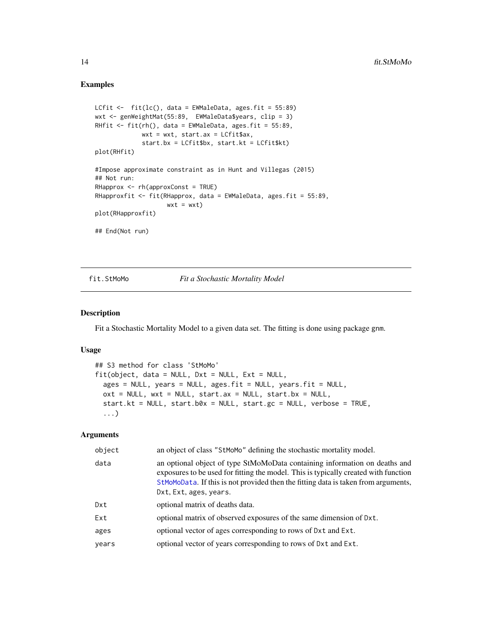#### <span id="page-13-0"></span>Examples

```
LCfit \le fit(lc(), data = EWMaleData, ages.fit = 55:89)
wxt <- genWeightMat(55:89, EWMaleData$years, clip = 3)
RHfit <- fit(rh(), data = EWMaleData, ages.fit = 55:89,
             wxt = wxt, start.ax = LCfit$ax,
             start.bx = LCfit$bx, start.kt = LCfit$kt)
plot(RHfit)
#Impose approximate constraint as in Hunt and Villegas (2015)
## Not run:
RHapprox <- rh(approxConst = TRUE)
RHapproxfit <- fit(RHapprox, data = EWMaleData, ages.fit = 55:89,
                    wxt = wxt)
plot(RHapproxfit)
## End(Not run)
```
<span id="page-13-1"></span>fit.StMoMo *Fit a Stochastic Mortality Model*

#### Description

Fit a Stochastic Mortality Model to a given data set. The fitting is done using package gnm.

#### Usage

```
## S3 method for class 'StMoMo'
fit(object, data = NULL, Dxt = NULL, Ext = NULL,ages = NULL, years = NULL, ages.fit = NULL, years.fit = NULL,
 ext = NULL, wxt = NULL, start.ax = NULL, start.bx = NULL,
  start.kt = NULL, start.b0x = NULL, start.gc = NULL, verbose = TRUE,
  ...)
```
#### Arguments

| object | an object of class "StMoMo" defining the stochastic mortality model.                                                                                                                                                                                                              |
|--------|-----------------------------------------------------------------------------------------------------------------------------------------------------------------------------------------------------------------------------------------------------------------------------------|
| data   | an optional object of type StMoMoData containing information on deaths and<br>exposures to be used for fitting the model. This is typically created with function<br>StMoMoData. If this is not provided then the fitting data is taken from arguments,<br>Dxt, Ext, ages, years. |
| Dxt    | optional matrix of deaths data.                                                                                                                                                                                                                                                   |
| Ext    | optional matrix of observed exposures of the same dimension of Dxt.                                                                                                                                                                                                               |
| ages   | optional vector of ages corresponding to rows of Dxt and Ext.                                                                                                                                                                                                                     |
| years  | optional vector of years corresponding to rows of Dxt and Ext.                                                                                                                                                                                                                    |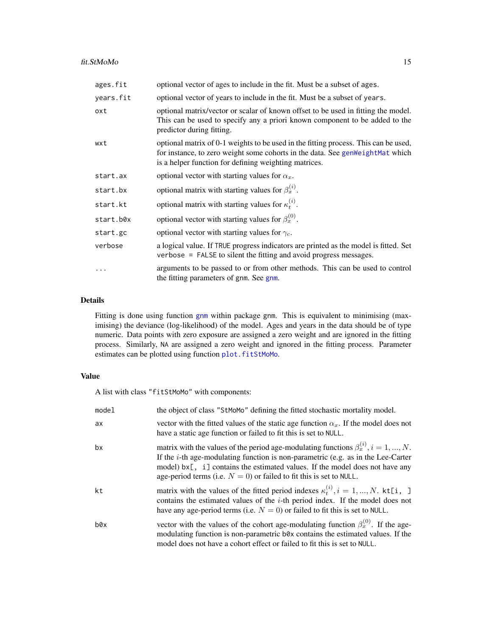#### <span id="page-14-0"></span>fit.StMoMo 15

| ages.fit  | optional vector of ages to include in the fit. Must be a subset of ages.                                                                                                                                                      |
|-----------|-------------------------------------------------------------------------------------------------------------------------------------------------------------------------------------------------------------------------------|
| years.fit | optional vector of years to include in the fit. Must be a subset of years.                                                                                                                                                    |
| oxt       | optional matrix/vector or scalar of known offset to be used in fitting the model.<br>This can be used to specify any a priori known component to be added to the<br>predictor during fitting.                                 |
| wxt       | optional matrix of 0-1 weights to be used in the fitting process. This can be used,<br>for instance, to zero weight some cohorts in the data. See genWeightMat which<br>is a helper function for defining weighting matrices. |
| start.ax  | optional vector with starting values for $\alpha_x$ .                                                                                                                                                                         |
| start.bx  | optional matrix with starting values for $\beta_x^{(i)}$ .                                                                                                                                                                    |
| start.kt  | optional matrix with starting values for $\kappa_t^{(i)}$ .                                                                                                                                                                   |
| start.b0x | optional vector with starting values for $\beta_x^{(0)}$ .                                                                                                                                                                    |
| start.gc  | optional vector with starting values for $\gamma_c$ .                                                                                                                                                                         |
| verbose   | a logical value. If TRUE progress indicators are printed as the model is fitted. Set<br>verbose = FALSE to silent the fitting and avoid progress messages.                                                                    |
|           | arguments to be passed to or from other methods. This can be used to control<br>the fitting parameters of gnm. See gnm.                                                                                                       |

## Details

Fitting is done using function [gnm](#page-0-0) within package gnm. This is equivalent to minimising (maximising) the deviance (log-likelihood) of the model. Ages and years in the data should be of type numeric. Data points with zero exposure are assigned a zero weight and are ignored in the fitting process. Similarly, NA are assigned a zero weight and ignored in the fitting process. Parameter estimates can be plotted using function [plot.fitStMoMo](#page-32-1).

## Value

A list with class "fitStMoMo" with components:

| model | the object of class "StMoMo" defining the fitted stochastic mortality model.                                                                                                                                                                                                                                                                    |
|-------|-------------------------------------------------------------------------------------------------------------------------------------------------------------------------------------------------------------------------------------------------------------------------------------------------------------------------------------------------|
| ax    | vector with the fitted values of the static age function $\alpha_x$ . If the model does not<br>have a static age function or failed to fit this is set to NULL.                                                                                                                                                                                 |
| bx    | matrix with the values of the period age-modulating functions $\beta_x^{(i)}$ , $i = 1, , N$ .<br>If the $i$ -th age-modulating function is non-parametric (e.g. as in the Lee-Carter<br>model) bx[, i] contains the estimated values. If the model does not have any<br>age-period terms (i.e. $N = 0$ ) or failed to fit this is set to NULL. |
| kt    | matrix with the values of the fitted period indexes $\kappa_t^{(i)}$ , $i = 1, , N$ . kt[i, ]<br>contains the estimated values of the $i$ -th period index. If the model does not<br>have any age-period terms (i.e. $N = 0$ ) or failed to fit this is set to NULL.                                                                            |
| b0x   | vector with the values of the cohort age-modulating function $\beta_x^{(0)}$ . If the age-<br>modulating function is non-parametric b0x contains the estimated values. If the<br>model does not have a cohort effect or failed to fit this is set to NULL.                                                                                      |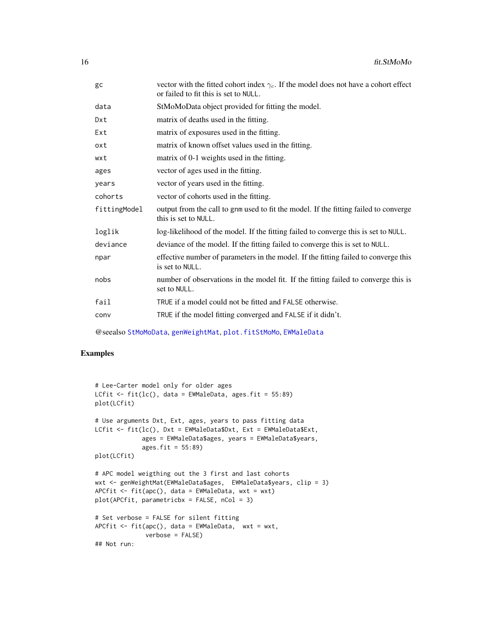<span id="page-15-0"></span>

| gc           | vector with the fitted cohort index $\gamma_c$ . If the model does not have a cohort effect<br>or failed to fit this is set to NULL. |
|--------------|--------------------------------------------------------------------------------------------------------------------------------------|
| data         | StMoMoData object provided for fitting the model.                                                                                    |
| Dxt          | matrix of deaths used in the fitting.                                                                                                |
| Ext          | matrix of exposures used in the fitting.                                                                                             |
| oxt          | matrix of known offset values used in the fitting.                                                                                   |
| wxt          | matrix of 0-1 weights used in the fitting.                                                                                           |
| ages         | vector of ages used in the fitting.                                                                                                  |
| years        | vector of years used in the fitting.                                                                                                 |
| cohorts      | vector of cohorts used in the fitting.                                                                                               |
| fittingModel | output from the call to gnm used to fit the model. If the fitting failed to converge<br>this is set to NULL.                         |
| loglik       | log-likelihood of the model. If the fitting failed to converge this is set to NULL.                                                  |
| deviance     | deviance of the model. If the fitting failed to converge this is set to NULL.                                                        |
| npar         | effective number of parameters in the model. If the fitting failed to converge this<br>is set to NULL.                               |
| nobs         | number of observations in the model fit. If the fitting failed to converge this is<br>set to NULL.                                   |
| fail         | TRUE if a model could not be fitted and FALSE otherwise.                                                                             |
| conv         | TRUE if the model fitting converged and FALSE if it didn't.                                                                          |
|              |                                                                                                                                      |

@seealso [StMoMoData](#page-50-1), [genWeightMat](#page-22-1), [plot.fitStMoMo](#page-32-1), [EWMaleData](#page-8-1)

```
# Lee-Carter model only for older ages
LCfit <- fit(lc(), data = EWMaleData, ages.fit = 55:89)
plot(LCfit)
# Use arguments Dxt, Ext, ages, years to pass fitting data
LCfit <- fit(lc(), Dxt = EWMaleData$Dxt, Ext = EWMaleData$Ext,
             ages = EWMaleData$ages, years = EWMaleData$years,
             ages.fit = 55:89)
plot(LCfit)
# APC model weigthing out the 3 first and last cohorts
wxt <- genWeightMat(EWMaleData$ages, EWMaleData$years, clip = 3)
APCfit \leq fit(apc(), data = EWMaleData, wxt = wxt)
plot(APCfit, parametricbx = FALSE, nCol = 3)
# Set verbose = FALSE for silent fitting
APCfit \leftarrow fit(apc(), data = EWMaleData, wxt = wxt,
              verbose = FALSE)
## Not run:
```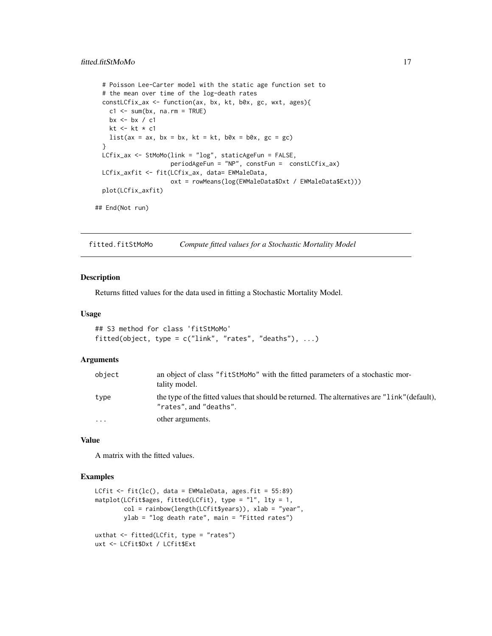```
# Poisson Lee-Carter model with the static age function set to
 # the mean over time of the log-death rates
 constLCfix_ax <- function(ax, bx, kt, b0x, gc, wxt, ages){
   c1 \leq -\text{sum}(bx, \text{na.rm = TRUE})bx <- bx / c1
   kt <- kt * c1
   list(ax = ax, bx = bx, kt = kt, b0x = b0x, gc = gc)}
 LCfix_ax <- StMoMo(link = "log", staticAgeFun = FALSE,
                     periodAgeFun = "NP", constFun = constLCfix_ax)
 LCfix_axfit <- fit(LCfix_ax, data= EWMaleData,
                     oxt = rowMeans(log(EWMaleData$Dxt / EWMaleData$Ext)))
 plot(LCfix_axfit)
## End(Not run)
```
<span id="page-16-1"></span>fitted.fitStMoMo *Compute fitted values for a Stochastic Mortality Model*

#### Description

Returns fitted values for the data used in fitting a Stochastic Mortality Model.

#### Usage

```
## S3 method for class 'fitStMoMo'
fitted(object, type = c("link", "rates", "deaths"), ...)
```
#### Arguments

| object  | an object of class "fitst MoMo" with the fitted parameters of a stochastic mor-<br>tality model.                        |
|---------|-------------------------------------------------------------------------------------------------------------------------|
| type    | the type of the fitted values that should be returned. The alternatives are "link" (default),<br>"rates", and "deaths". |
| $\cdot$ | other arguments.                                                                                                        |

#### Value

A matrix with the fitted values.

```
LCfit \le fit(lc(), data = EWMaleData, ages.fit = 55:89)
matplot(LCfit$ages, fitted(LCfit), type = "l", lty = 1,
        col = rainbow(length(LCfit$years)), xlab = "year",
        ylab = "log death rate", main = "Fitted rates")
uxthat <- fitted(LCfit, type = "rates")
uxt <- LCfit$Dxt / LCfit$Ext
```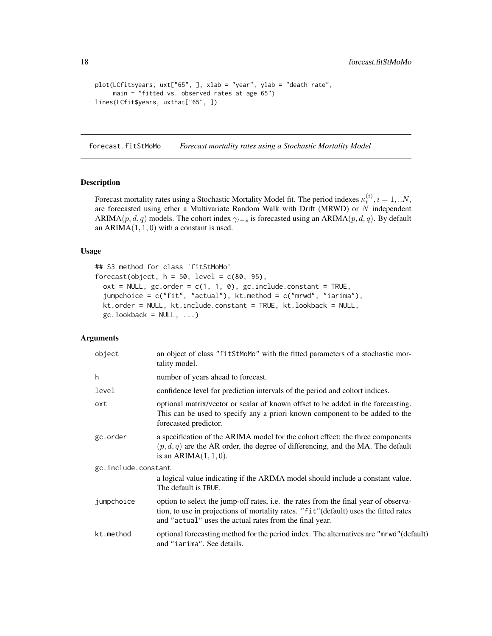```
plot(LCfit$years, uxt["65", ], xlab = "year", ylab = "death rate",
     main = "fitted vs. observed rates at age 65")
lines(LCfit$years, uxthat["65", ])
```
<span id="page-17-1"></span>forecast.fitStMoMo *Forecast mortality rates using a Stochastic Mortality Model*

#### Description

Forecast mortality rates using a Stochastic Mortality Model fit. The period indexes  $\kappa_t^{(i)}$ ,  $i = 1,..N$ , are forecasted using ether a Multivariate Random Walk with Drift (MRWD) or  $N$  independent ARIMA(p, d, q) models. The cohort index  $\gamma_{t-x}$  is forecasted using an ARIMA(p, d, q). By default an  $ARIMA(1, 1, 0)$  with a constant is used.

#### Usage

```
## S3 method for class 'fitStMoMo'
forecast(object, h = 50, level = c(80, 95),
 ext = NULL, gc.order = c(1, 1, 0), gc.include. constant = TRUE,
  jumpchoice = c("fit", "actual"), kt.method = c("mrwd", "iarima"),
  kt.order = NULL, kt.include.constant = TRUE, kt.lookback = NULL,
 gc. lookback = NULL, ...)
```
#### Arguments

| object              | an object of class "fitStMoMo" with the fitted parameters of a stochastic mor-<br>tality model.                                                                                                                                         |
|---------------------|-----------------------------------------------------------------------------------------------------------------------------------------------------------------------------------------------------------------------------------------|
| h                   | number of years ahead to forecast.                                                                                                                                                                                                      |
| level               | confidence level for prediction intervals of the period and cohort indices.                                                                                                                                                             |
| oxt                 | optional matrix/vector or scalar of known offset to be added in the forecasting.<br>This can be used to specify any a priori known component to be added to the<br>forecasted predictor.                                                |
| gc.order            | a specification of the ARIMA model for the cohort effect: the three components<br>$(p, d, q)$ are the AR order, the degree of differencing, and the MA. The default<br>is an ARIMA $(1, 1, 0)$ .                                        |
| gc.include.constant |                                                                                                                                                                                                                                         |
|                     | a logical value indicating if the ARIMA model should include a constant value.<br>The default is TRUE.                                                                                                                                  |
| jumpchoice          | option to select the jump-off rates, i.e. the rates from the final year of observa-<br>tion, to use in projections of mortality rates. "fit" (default) uses the fitted rates<br>and "actual" uses the actual rates from the final year. |
| kt.method           | optional forecasting method for the period index. The alternatives are "mrwd" (default)<br>and "iarima". See details.                                                                                                                   |

<span id="page-17-0"></span>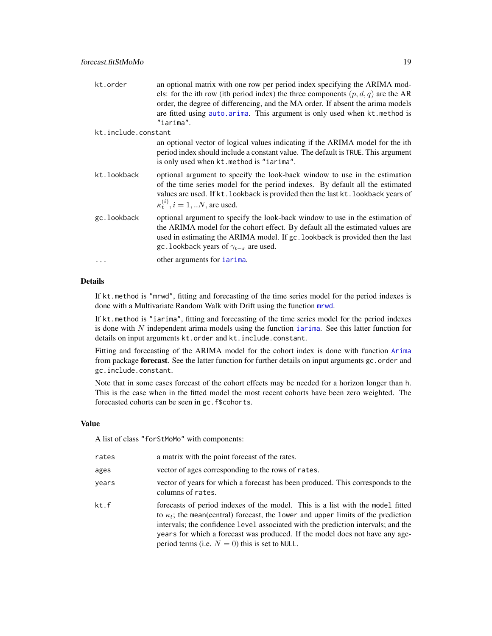<span id="page-18-0"></span>

| kt.order            | an optional matrix with one row per period index specifying the ARIMA mod-<br>els: for the ith row (ith period index) the three components $(p, d, q)$ are the AR<br>order, the degree of differencing, and the MA order. If absent the arima models<br>are fitted using auto. arima. This argument is only used when kt. method is<br>"iarima". |
|---------------------|--------------------------------------------------------------------------------------------------------------------------------------------------------------------------------------------------------------------------------------------------------------------------------------------------------------------------------------------------|
| kt.include.constant |                                                                                                                                                                                                                                                                                                                                                  |
|                     | an optional vector of logical values indicating if the ARIMA model for the ith<br>period index should include a constant value. The default is TRUE. This argument<br>is only used when kt.method is "iarima".                                                                                                                                   |
| kt.lookback         | optional argument to specify the look-back window to use in the estimation<br>of the time series model for the period indexes. By default all the estimated<br>values are used. If kt. lookback is provided then the last kt. lookback years of<br>$\kappa_i^{(i)}$ , $i = 1, N$ , are used.                                                     |
| gc.lookback         | optional argument to specify the look-back window to use in the estimation of<br>the ARIMA model for the cohort effect. By default all the estimated values are<br>used in estimating the ARIMA model. If gc. lookback is provided then the last<br>gc. lookback years of $\gamma_{t-x}$ are used.                                               |
| $\ddotsc$           | other arguments for <i>iarima</i> .                                                                                                                                                                                                                                                                                                              |

## Details

If kt.method is "mrwd", fitting and forecasting of the time series model for the period indexes is done with a Multivariate Random Walk with Drift using the function [mrwd](#page-30-1).

If kt.method is "iarima", fitting and forecasting of the time series model for the period indexes is done with  $N$  independent arima models using the function [iarima](#page-23-1). See this latter function for details on input arguments kt.order and kt.include.constant.

Fitting and forecasting of the ARIMA model for the cohort index is done with function [Arima](#page-0-0) from package **forecast**. See the latter function for further details on input arguments gc.order and gc.include.constant.

Note that in some cases forecast of the cohort effects may be needed for a horizon longer than h. This is the case when in the fitted model the most recent cohorts have been zero weighted. The forecasted cohorts can be seen in gc.f\$cohorts.

## Value

A list of class "forStMoMo" with components:

| rates | a matrix with the point forecast of the rates.                                                                                                                                                                                                                                                                                                                                                       |
|-------|------------------------------------------------------------------------------------------------------------------------------------------------------------------------------------------------------------------------------------------------------------------------------------------------------------------------------------------------------------------------------------------------------|
| ages  | vector of ages corresponding to the rows of rates.                                                                                                                                                                                                                                                                                                                                                   |
| vears | vector of years for which a forecast has been produced. This corresponds to the<br>columns of rates.                                                                                                                                                                                                                                                                                                 |
| kt.f  | forecasts of period indexes of the model. This is a list with the model fitted<br>to $\kappa_t$ ; the mean(central) forecast, the lower and upper limits of the prediction<br>intervals; the confidence level associated with the prediction intervals; and the<br>years for which a forecast was produced. If the model does not have any age-<br>period terms (i.e. $N = 0$ ) this is set to NULL. |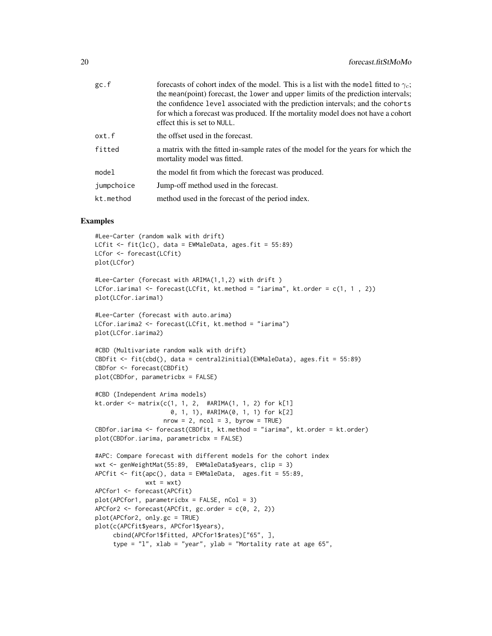| gc.f       | forecasts of cohort index of the model. This is a list with the model fitted to $\gamma_c$ ;<br>the mean(point) forecast, the lower and upper limits of the prediction intervals;<br>the confidence level associated with the prediction intervals; and the cohorts<br>for which a forecast was produced. If the mortality model does not have a cohort<br>effect this is set to NULL. |
|------------|----------------------------------------------------------------------------------------------------------------------------------------------------------------------------------------------------------------------------------------------------------------------------------------------------------------------------------------------------------------------------------------|
| oxt.f      | the offset used in the forecast.                                                                                                                                                                                                                                                                                                                                                       |
| fitted     | a matrix with the fitted in-sample rates of the model for the years for which the<br>mortality model was fitted.                                                                                                                                                                                                                                                                       |
| model      | the model fit from which the forecast was produced.                                                                                                                                                                                                                                                                                                                                    |
| jumpchoice | Jump-off method used in the forecast.                                                                                                                                                                                                                                                                                                                                                  |
| kt.method  | method used in the forecast of the period index.                                                                                                                                                                                                                                                                                                                                       |
|            |                                                                                                                                                                                                                                                                                                                                                                                        |

```
#Lee-Carter (random walk with drift)
LCfit \le fit(lc(), data = EWMaleData, ages.fit = 55:89)
LCfor <- forecast(LCfit)
plot(LCfor)
#Lee-Carter (forecast with ARIMA(1,1,2) with drift )
LCfor.iarima1 <- forecast(LCfit, kt.method = "iarima", kt.order = c(1, 1, 2))
plot(LCfor.iarima1)
#Lee-Carter (forecast with auto.arima)
LCfor.iarima2 <- forecast(LCfit, kt.method = "iarima")
plot(LCfor.iarima2)
#CBD (Multivariate random walk with drift)
CBDfit <- fit(cbd(), data = central2initial(EWMaleData), ages.fit = 55:89)
CBDfor <- forecast(CBDfit)
plot(CBDfor, parametricbx = FALSE)
#CBD (Independent Arima models)
kt.order <- matrix(c(1, 1, 2, #ARIMA(1, 1, 2) for k[1]
                     0, 1, 1), #ARIMA(0, 1, 1) for k[2]
                   nrow = 2, ncol = 3, byrow = TRUE)
CBDfor.iarima <- forecast(CBDfit, kt.method = "iarima", kt.order = kt.order)
plot(CBDfor.iarima, parametricbx = FALSE)
#APC: Compare forecast with different models for the cohort index
wxt <- genWeightMat(55:89, EWMaleData$years, clip = 3)
APCfit <- fit(apc(), data = EWMaleData, ages.fit = 55:89,
              wxt = wxt)APCfor1 <- forecast(APCfit)
plot(APCfor1, parametricbx = FALSE, nCol = 3)
APCfor2 \leftarrow forecast(APCfit, gc.order = c(0, 2, 2))
plot(APCfor2, only.gc = TRUE)
plot(c(APCfit$years, APCfor1$years),
     cbind(APCfor1$fitted, APCfor1$rates)["65", ],
     type = "1", xlab = "year", ylab = "Mortality rate at age 65",
```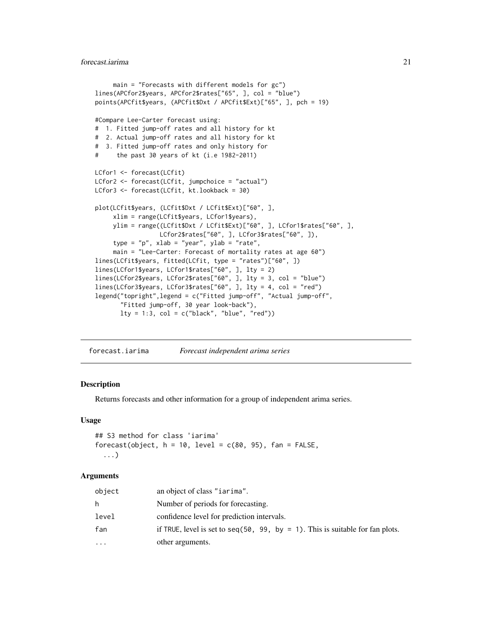```
main = "Forecasts with different models for gc")
lines(APCfor2$years, APCfor2$rates["65", ], col = "blue")
points(APCfit$years, (APCfit$Dxt / APCfit$Ext)["65", ], pch = 19)
#Compare Lee-Carter forecast using:
# 1. Fitted jump-off rates and all history for kt
# 2. Actual jump-off rates and all history for kt
# 3. Fitted jump-off rates and only history for
# the past 30 years of kt (i.e 1982-2011)
LCfor1 <- forecast(LCfit)
LCfor2 <- forecast(LCfit, jumpchoice = "actual")
LCfor3 <- forecast(LCfit, kt.lookback = 30)
plot(LCfit$years, (LCfit$Dxt / LCfit$Ext)["60", ],
     xlim = range(LCfit$years, LCfor1$years),
     ylim = range((LCfit$Dxt / LCfit$Ext)["60", ], LCfor1$rates["60", ],
                 LCfor2$rates["60", ], LCfor3$rates["60", ]),
     type = "p", xlab = "year", ylab = "rate",
     main = "Lee-Carter: Forecast of mortality rates at age 60")
lines(LCfit$years, fitted(LCfit, type = "rates")["60", ])
lines(LCfor1$years, LCfor1$rates["60", ], lty = 2)
lines(LCfor2$years, LCfor2$rates["60", ], lty = 3, col = "blue")
lines(LCfor3$years, LCfor3$rates["60", ], lty = 4, col = "red")
legend("topright",legend = c("Fitted jump-off", "Actual jump-off",
       "Fitted jump-off, 30 year look-back"),
       lty = 1:3, col = c("black", "blue", "red"))
```
forecast.iarima *Forecast independent arima series*

#### Description

Returns forecasts and other information for a group of independent arima series.

#### Usage

```
## S3 method for class 'iarima'
forecast(object, h = 10, level = c(80, 95), fan = FALSE,
  ...)
```
#### Arguments

| object | an object of class "iarima".                                                  |
|--------|-------------------------------------------------------------------------------|
| h.     | Number of periods for forecasting.                                            |
| level  | confidence level for prediction intervals.                                    |
| fan    | if TRUE, level is set to seq(50, 99, by = 1). This is suitable for fan plots. |
| .      | other arguments.                                                              |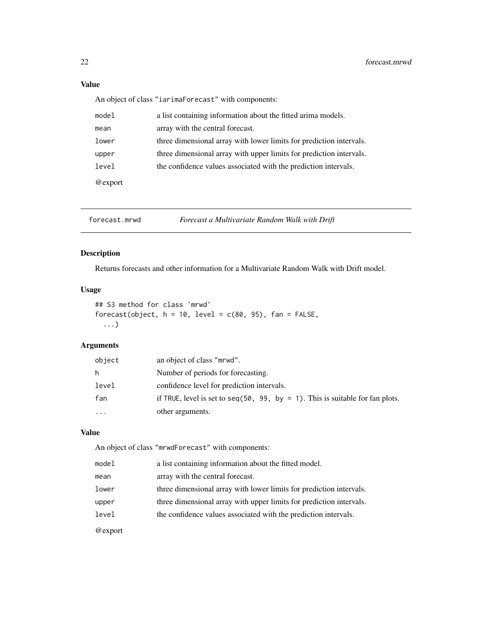## Value

An object of class "iarimaForecast" with components:

| model   | a list containing information about the fitted arima models.        |
|---------|---------------------------------------------------------------------|
| mean    | array with the central forecast.                                    |
| lower   | three dimensional array with lower limits for prediction intervals. |
| upper   | three dimensional array with upper limits for prediction intervals. |
| level   | the confidence values associated with the prediction intervals.     |
| @export |                                                                     |

forecast.mrwd *Forecast a Multivariate Random Walk with Drift*

## Description

Returns forecasts and other information for a Multivariate Random Walk with Drift model.

## Usage

```
## S3 method for class 'mrwd'
forecast(object, h = 10, level = c(80, 95), fan = FALSE,
  ...)
```
## Arguments

| object   | an object of class "mrwd".                                                        |
|----------|-----------------------------------------------------------------------------------|
| h.       | Number of periods for forecasting.                                                |
| level    | confidence level for prediction intervals.                                        |
| fan      | if TRUE, level is set to seq $(50, 99, by = 1)$ . This is suitable for fan plots. |
| $\cdots$ | other arguments.                                                                  |

## Value

An object of class "mrwdForecast" with components:

| model   | a list containing information about the fitted model.               |
|---------|---------------------------------------------------------------------|
| mean    | array with the central forecast.                                    |
| lower   | three dimensional array with lower limits for prediction intervals. |
| upper   | three dimensional array with upper limits for prediction intervals. |
| level   | the confidence values associated with the prediction intervals.     |
| @export |                                                                     |

<span id="page-21-0"></span>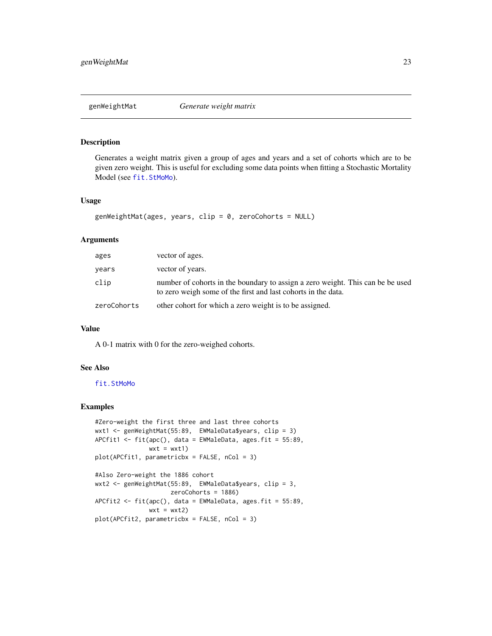<span id="page-22-1"></span><span id="page-22-0"></span>

Generates a weight matrix given a group of ages and years and a set of cohorts which are to be given zero weight. This is useful for excluding some data points when fitting a Stochastic Mortality Model (see [fit.StMoMo](#page-13-1)).

#### Usage

```
genWeightMat(ages, years, clip = 0, zeroCohorts = NULL)
```
#### Arguments

| ages        | vector of ages.                                                                                                                                 |
|-------------|-------------------------------------------------------------------------------------------------------------------------------------------------|
| years       | vector of years.                                                                                                                                |
| clip        | number of cohorts in the boundary to assign a zero weight. This can be be used<br>to zero weigh some of the first and last cohorts in the data. |
| zeroCohorts | other cohort for which a zero weight is to be assigned.                                                                                         |

#### Value

A 0-1 matrix with 0 for the zero-weighed cohorts.

## See Also

## [fit.StMoMo](#page-13-1)

```
#Zero-weight the first three and last three cohorts
wxt1 <- genWeightMat(55:89, EWMaleData$years, clip = 3)
APCfit1 <- fit(apc(), data = EWMaleData, ages.fit = 55:89,
               wxt = wxt1)plot(APCfit1, parametricbx = FALSE, nCol = 3)
#Also Zero-weight the 1886 cohort
wxt2 <- genWeightMat(55:89, EWMaleData$years, clip = 3,
                    zeroCohorts = 1886)
```

```
APCfit2 <- fit(apc(), data = EWMaleData, ages.fit = 55:89,
              wxt = wxt2)plot(APCfit2, parametricbx = FALSE, nCol = 3)
```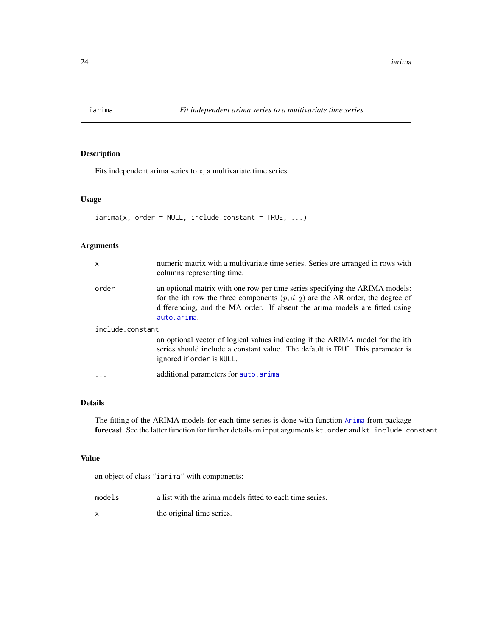<span id="page-23-1"></span><span id="page-23-0"></span>

Fits independent arima series to x, a multivariate time series.

#### Usage

```
iarima(x, order = NULL, include.constant = TRUE, ...)
```
## Arguments

| x                | numeric matrix with a multivariate time series. Series are arranged in rows with<br>columns representing time.                                                                                                                                                 |
|------------------|----------------------------------------------------------------------------------------------------------------------------------------------------------------------------------------------------------------------------------------------------------------|
| order            | an optional matrix with one row per time series specifying the ARIMA models:<br>for the ith row the three components $(p, d, q)$ are the AR order, the degree of<br>differencing, and the MA order. If absent the arima models are fitted using<br>auto.arima. |
| include.constant |                                                                                                                                                                                                                                                                |
|                  | an optional vector of logical values indicating if the ARIMA model for the ith<br>series should include a constant value. The default is TRUE. This parameter is<br>ignored if order is NULL.                                                                  |
| $\ddots$         | additional parameters for auto. arima                                                                                                                                                                                                                          |

## Details

The fitting of the ARIMA models for each time series is done with function [Arima](#page-0-0) from package forecast. See the latter function for further details on input arguments kt.order and kt.include.constant.

#### Value

an object of class "iarima" with components:

| models | a list with the arima models fitted to each time series. |
|--------|----------------------------------------------------------|
|        | the original time series.                                |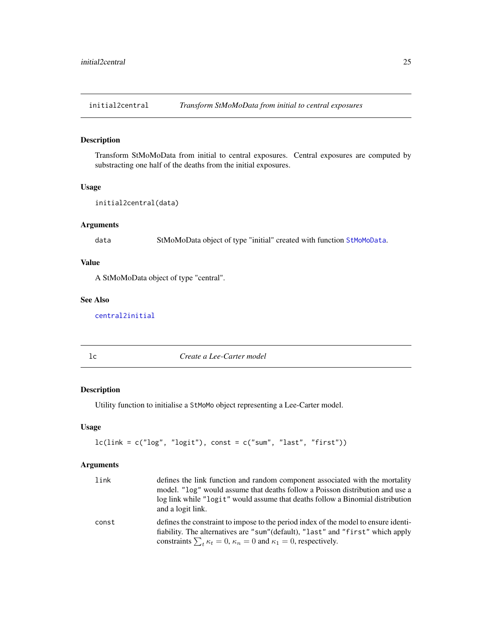<span id="page-24-1"></span><span id="page-24-0"></span>

Transform StMoMoData from initial to central exposures. Central exposures are computed by substracting one half of the deaths from the initial exposures.

## Usage

```
initial2central(data)
```
## Arguments

data StMoMoData object of type "initial" created with function [StMoMoData](#page-50-1).

## Value

A StMoMoData object of type "central".

## See Also

[central2initial](#page-6-1)

lc *Create a Lee-Carter model*

## Description

Utility function to initialise a StMoMo object representing a Lee-Carter model.

## Usage

 $lc(link = c("log", "logit"), const = c("sum", "last", "first"))$ 

## Arguments

| link  | defines the link function and random component associated with the mortality<br>model. "log" would assume that deaths follow a Poisson distribution and use a<br>log link while "logit" would assume that deaths follow a Binomial distribution<br>and a logit link. |
|-------|----------------------------------------------------------------------------------------------------------------------------------------------------------------------------------------------------------------------------------------------------------------------|
| const | defines the constraint to impose to the period index of the model to ensure identi-<br>fiability. The alternatives are "sum"(default), "last" and "first" which apply<br>constraints $\sum_{t} \kappa_t = 0$ , $\kappa_n = 0$ and $\kappa_1 = 0$ , respectively.     |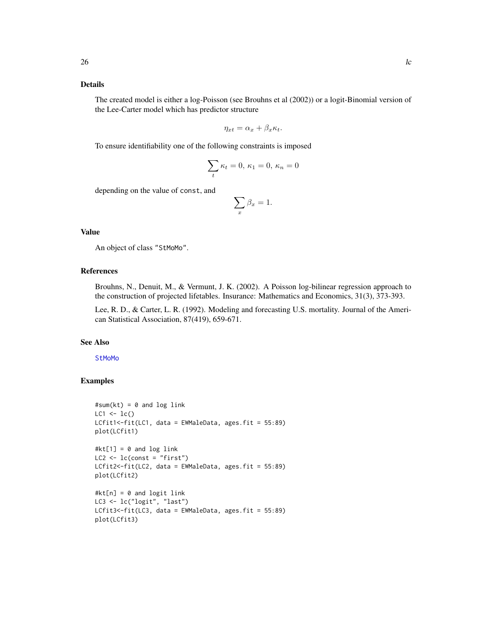## <span id="page-25-0"></span>Details

The created model is either a log-Poisson (see Brouhns et al (2002)) or a logit-Binomial version of the Lee-Carter model which has predictor structure

$$
\eta_{xt} = \alpha_x + \beta_x \kappa_t.
$$

To ensure identifiability one of the following constraints is imposed

$$
\sum_{t} \kappa_t = 0, \, \kappa_1 = 0, \, \kappa_n = 0
$$

depending on the value of const, and

$$
\sum_{x} \beta_x = 1.
$$

#### Value

An object of class "StMoMo".

#### References

Brouhns, N., Denuit, M., & Vermunt, J. K. (2002). A Poisson log-bilinear regression approach to the construction of projected lifetables. Insurance: Mathematics and Economics, 31(3), 373-393.

Lee, R. D., & Carter, L. R. (1992). Modeling and forecasting U.S. mortality. Journal of the American Statistical Association, 87(419), 659-671.

## See Also

[StMoMo](#page-47-1)

```
#sum(kt) = 0 and log linkLC1 \leftarrow lc()LCfit1<-fit(LC1, data = EWMaleData, ages.fit = 55:89)
plot(LCfit1)
#kt[1] = 0 and log link
LC2 \leftarrow lc(const = "first")LCfit2<-fit(LC2, data = EWMaleData, ages.fit = 55:89)
plot(LCfit2)
#kt[n] = 0 and logit link
LC3 <- lc("logit", "last")
LCfit3<-fit(LC3, data = EWMaleData, ages.fit = 55:89)
plot(LCfit3)
```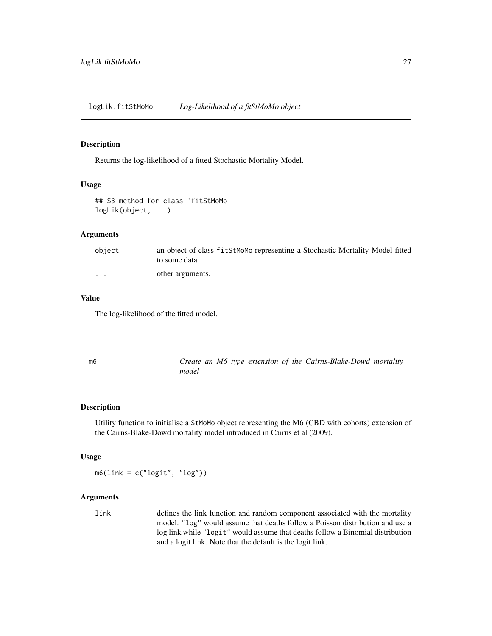<span id="page-26-0"></span>logLik.fitStMoMo *Log-Likelihood of a fitStMoMo object*

#### Description

Returns the log-likelihood of a fitted Stochastic Mortality Model.

## Usage

```
## S3 method for class 'fitStMoMo'
logLik(object, ...)
```
## Arguments

| object               | an object of class fitStMoMo representing a Stochastic Mortality Model fitted<br>to some data. |
|----------------------|------------------------------------------------------------------------------------------------|
| $\ddot{\phantom{0}}$ | other arguments.                                                                               |

#### Value

The log-likelihood of the fitted model.

<span id="page-26-1"></span>

| m <sub>6</sub> |       |  |  | Create an M6 type extension of the Cairns-Blake-Dowd mortality |  |
|----------------|-------|--|--|----------------------------------------------------------------|--|
|                | model |  |  |                                                                |  |

## Description

Utility function to initialise a StMoMo object representing the M6 (CBD with cohorts) extension of the Cairns-Blake-Dowd mortality model introduced in Cairns et al (2009).

#### Usage

 $m6(link = c("logit", "log"))$ 

## Arguments

link defines the link function and random component associated with the mortality model. "log" would assume that deaths follow a Poisson distribution and use a log link while "logit" would assume that deaths follow a Binomial distribution and a logit link. Note that the default is the logit link.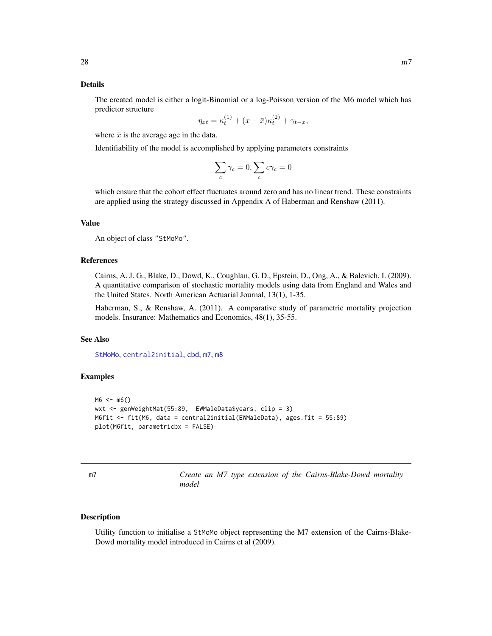#### <span id="page-27-0"></span>Details

The created model is either a logit-Binomial or a log-Poisson version of the M6 model which has predictor structure

$$
\eta_{xt} = \kappa_t^{(1)} + (x - \bar{x})\kappa_t^{(2)} + \gamma_{t-x},
$$

where  $\bar{x}$  is the average age in the data.

Identifiability of the model is accomplished by applying parameters constraints

$$
\sum_c \gamma_c = 0, \sum_c c \gamma_c = 0
$$

which ensure that the cohort effect fluctuates around zero and has no linear trend. These constraints are applied using the strategy discussed in Appendix A of Haberman and Renshaw (2011).

#### Value

An object of class "StMoMo".

#### References

Cairns, A. J. G., Blake, D., Dowd, K., Coughlan, G. D., Epstein, D., Ong, A., & Balevich, I. (2009). A quantitative comparison of stochastic mortality models using data from England and Wales and the United States. North American Actuarial Journal, 13(1), 1-35.

Haberman, S., & Renshaw, A. (2011). A comparative study of parametric mortality projection models. Insurance: Mathematics and Economics, 48(1), 35-55.

## See Also

[StMoMo](#page-47-1), [central2initial](#page-6-1), [cbd](#page-5-1), [m7](#page-27-1), [m8](#page-29-1)

#### Examples

```
M6 < - m6()wxt <- genWeightMat(55:89, EWMaleData$years, clip = 3)
M6fit <- fit(M6, data = central2initial(EWMaleData), ages.fit = 55:89)
plot(M6fit, parametricbx = FALSE)
```
<span id="page-27-1"></span>

m7 *Create an M7 type extension of the Cairns-Blake-Dowd mortality model*

#### Description

Utility function to initialise a StMoMo object representing the M7 extension of the Cairns-Blake-Dowd mortality model introduced in Cairns et al (2009).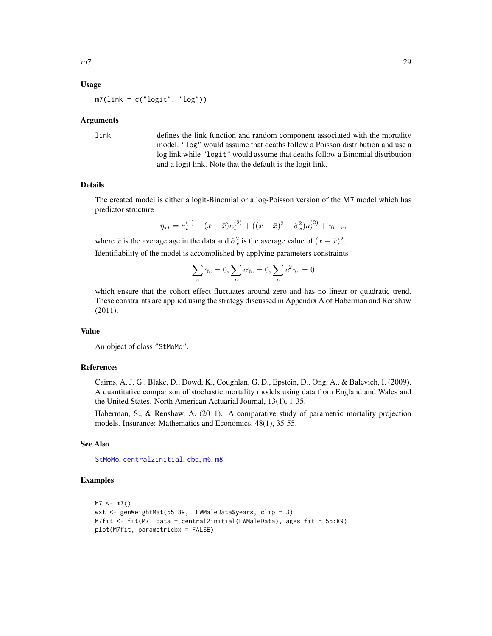#### Usage

 $m7$ (link = c("logit", "log"))

#### Arguments

link defines the link function and random component associated with the mortality model. "log" would assume that deaths follow a Poisson distribution and use a log link while "logit" would assume that deaths follow a Binomial distribution and a logit link. Note that the default is the logit link.

## Details

The created model is either a logit-Binomial or a log-Poisson version of the M7 model which has predictor structure

$$
\eta_{xt} = \kappa_t^{(1)} + (x - \bar{x})\kappa_t^{(2)} + ((x - \bar{x})^2 - \hat{\sigma}_x^2)\kappa_t^{(2)} + \gamma_{t-x},
$$

where  $\bar{x}$  is the average age in the data and  $\hat{\sigma}_x^2$  is the average value of  $(x - \bar{x})^2$ .

Identifiability of the model is accomplished by applying parameters constraints

$$
\sum_c \gamma_c = 0, \sum_c c \gamma_c = 0, \sum_c c^2 \gamma_c = 0
$$

which ensure that the cohort effect fluctuates around zero and has no linear or quadratic trend. These constraints are applied using the strategy discussed in Appendix A of Haberman and Renshaw (2011).

## Value

An object of class "StMoMo".

#### References

Cairns, A. J. G., Blake, D., Dowd, K., Coughlan, G. D., Epstein, D., Ong, A., & Balevich, I. (2009). A quantitative comparison of stochastic mortality models using data from England and Wales and the United States. North American Actuarial Journal, 13(1), 1-35.

Haberman, S., & Renshaw, A. (2011). A comparative study of parametric mortality projection models. Insurance: Mathematics and Economics, 48(1), 35-55.

## See Also

[StMoMo](#page-47-1), [central2initial](#page-6-1), [cbd](#page-5-1), [m6](#page-26-1), [m8](#page-29-1)

## Examples

```
M7 < - m7()wxt <- genWeightMat(55:89, EWMaleData$years, clip = 3)
M7fit <- fit(M7, data = central2initial(EWMaleData), ages.fit = 55:89)
plot(M7fit, parametricbx = FALSE)
```
<span id="page-28-0"></span> $m$ 7 29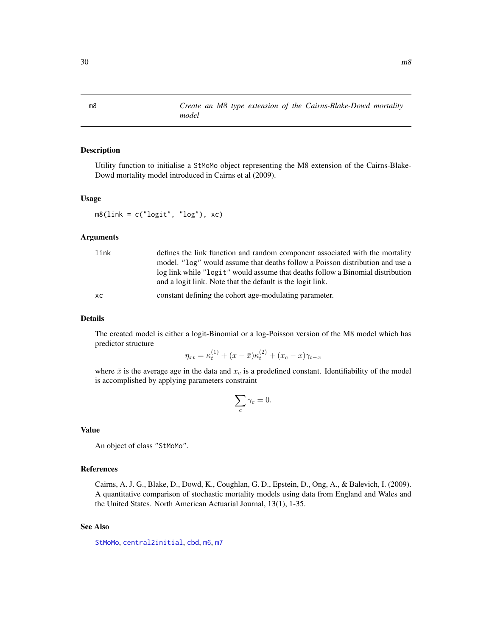<span id="page-29-1"></span><span id="page-29-0"></span>m8 *Create an M8 type extension of the Cairns-Blake-Dowd mortality model*

## Description

Utility function to initialise a StMoMo object representing the M8 extension of the Cairns-Blake-Dowd mortality model introduced in Cairns et al (2009).

#### Usage

 $m8$ (link = c("logit", "log"), xc)

#### **Arguments**

| link | defines the link function and random component associated with the mortality<br>model. "log" would assume that deaths follow a Poisson distribution and use a<br>log link while "logit" would assume that deaths follow a Binomial distribution<br>and a logit link. Note that the default is the logit link. |
|------|---------------------------------------------------------------------------------------------------------------------------------------------------------------------------------------------------------------------------------------------------------------------------------------------------------------|
| XC.  | constant defining the cohort age-modulating parameter.                                                                                                                                                                                                                                                        |

#### Details

The created model is either a logit-Binomial or a log-Poisson version of the M8 model which has predictor structure

$$
\eta_{xt} = \kappa_t^{(1)} + (x - \bar{x})\kappa_t^{(2)} + (x_c - \bar{x})\gamma_{t-x}
$$

where  $\bar{x}$  is the average age in the data and  $x_c$  is a predefined constant. Identifiability of the model is accomplished by applying parameters constraint

$$
\sum_c \gamma_c = 0.
$$

## Value

An object of class "StMoMo".

## References

Cairns, A. J. G., Blake, D., Dowd, K., Coughlan, G. D., Epstein, D., Ong, A., & Balevich, I. (2009). A quantitative comparison of stochastic mortality models using data from England and Wales and the United States. North American Actuarial Journal, 13(1), 1-35.

## See Also

[StMoMo](#page-47-1), [central2initial](#page-6-1), [cbd](#page-5-1), [m6](#page-26-1), [m7](#page-27-1)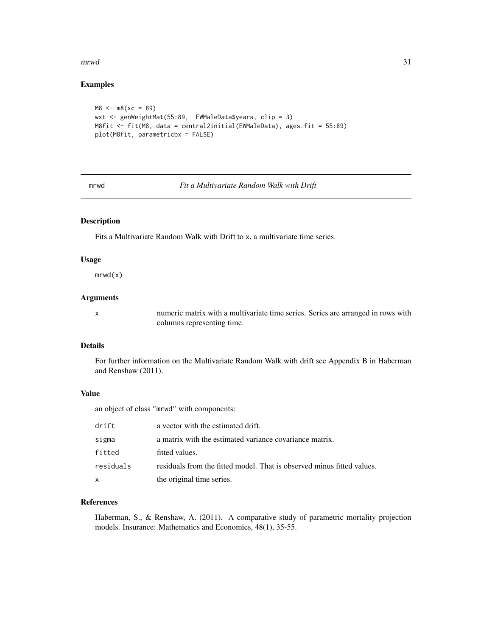#### <span id="page-30-0"></span> $mrvd$  31

## Examples

```
MS < - m8(xc = 89)wxt <- genWeightMat(55:89, EWMaleData$years, clip = 3)
M8fit <- fit(M8, data = central2initial(EWMaleData), ages.fit = 55:89)
plot(M8fit, parametricbx = FALSE)
```
<span id="page-30-1"></span>

#### mrwd *Fit a Multivariate Random Walk with Drift*

## Description

Fits a Multivariate Random Walk with Drift to x, a multivariate time series.

#### Usage

 $mrvd(x)$ 

#### Arguments

x numeric matrix with a multivariate time series. Series are arranged in rows with columns representing time.

#### Details

For further information on the Multivariate Random Walk with drift see Appendix B in Haberman and Renshaw (2011).

## Value

an object of class "mrwd" with components:

| drift     | a vector with the estimated drift.                                     |
|-----------|------------------------------------------------------------------------|
| sigma     | a matrix with the estimated variance covariance matrix.                |
| fitted    | fitted values.                                                         |
| residuals | residuals from the fitted model. That is observed minus fitted values. |
| x         | the original time series.                                              |

## References

Haberman, S., & Renshaw, A. (2011). A comparative study of parametric mortality projection models. Insurance: Mathematics and Economics, 48(1), 35-55.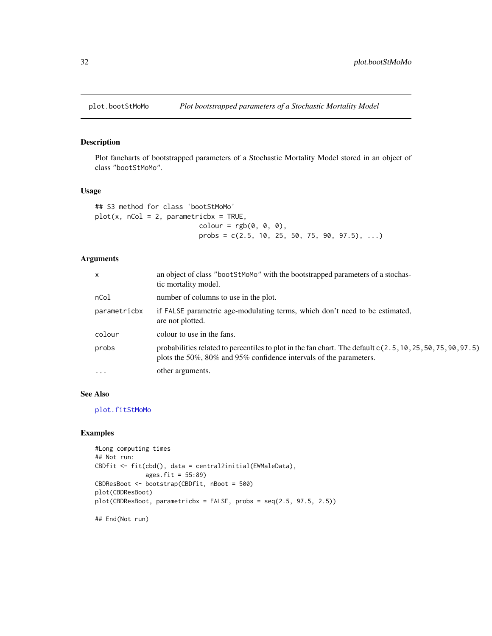<span id="page-31-1"></span><span id="page-31-0"></span>

Plot fancharts of bootstrapped parameters of a Stochastic Mortality Model stored in an object of class "bootStMoMo".

#### Usage

```
## S3 method for class 'bootStMoMo'
plot(x, nCol = 2, parametricbx = TRUE,color = rgb(0, 0, 0),probs = c(2.5, 10, 25, 50, 75, 90, 97.5), ...
```
#### Arguments

| $\times$     | an object of class "bootStMoMo" with the bootstrapped parameters of a stochas-<br>tic mortality model.                                                                               |
|--------------|--------------------------------------------------------------------------------------------------------------------------------------------------------------------------------------|
| nCol         | number of columns to use in the plot.                                                                                                                                                |
| parametricbx | if FALSE parametric age-modulating terms, which don't need to be estimated,<br>are not plotted.                                                                                      |
| colour       | colour to use in the fans.                                                                                                                                                           |
| probs        | probabilities related to percentiles to plot in the fan chart. The default $c(2.5, 10, 25, 50, 75, 90, 97, 5)$<br>plots the 50%, 80% and 95% confidence intervals of the parameters. |
| $\ddots$ .   | other arguments.                                                                                                                                                                     |

#### See Also

[plot.fitStMoMo](#page-32-1)

```
#Long computing times
## Not run:
CBDfit <- fit(cbd(), data = central2initial(EWMaleData),
             ages.fit = 55:89)
CBDResBoot <- bootstrap(CBDfit, nBoot = 500)
plot(CBDResBoot)
plot(CBDResBoot, parametricbx = FALSE, probs = seq(2.5, 97.5, 2.5))
## End(Not run)
```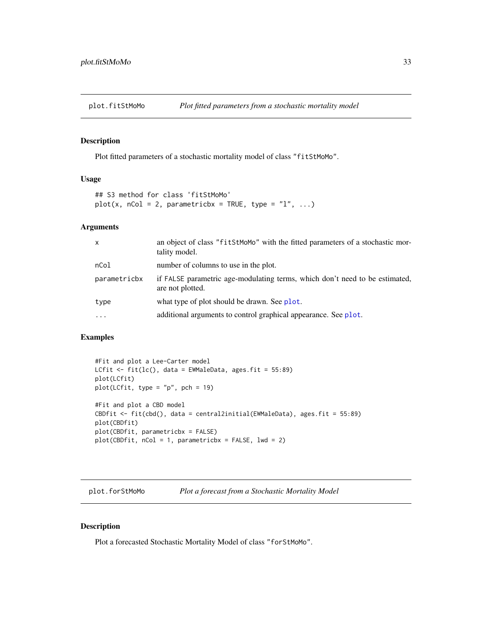<span id="page-32-1"></span><span id="page-32-0"></span>

Plot fitted parameters of a stochastic mortality model of class "fitStMoMo".

## Usage

```
## S3 method for class 'fitStMoMo'
plot(x, nCol = 2, parametricbx = TRUE, type = "l", ...)
```
## Arguments

| $\mathsf{x}$ | an object of class "fitst MoMo" with the fitted parameters of a stochastic mor-<br>tality model. |
|--------------|--------------------------------------------------------------------------------------------------|
| nCol         | number of columns to use in the plot.                                                            |
| parametricbx | if FALSE parametric age-modulating terms, which don't need to be estimated,<br>are not plotted.  |
| type         | what type of plot should be drawn. See plot.                                                     |
| $\ddotsc$    | additional arguments to control graphical appearance. See plot.                                  |

## Examples

```
#Fit and plot a Lee-Carter model
LCfit \le fit(lc(), data = EWMaleData, ages.fit = 55:89)
plot(LCfit)
plot(LCfit, type = "p", pch = 19)
#Fit and plot a CBD model
CBDfit <- fit(cbd(), data = central2initial(EWMaleData), ages.fit = 55:89)
plot(CBDfit)
plot(CBDfit, parametricbx = FALSE)
plot(CBDfit, nCol = 1, parametricbx = FALSE, lwd = 2)
```
plot.forStMoMo *Plot a forecast from a Stochastic Mortality Model*

#### Description

Plot a forecasted Stochastic Mortality Model of class "forStMoMo".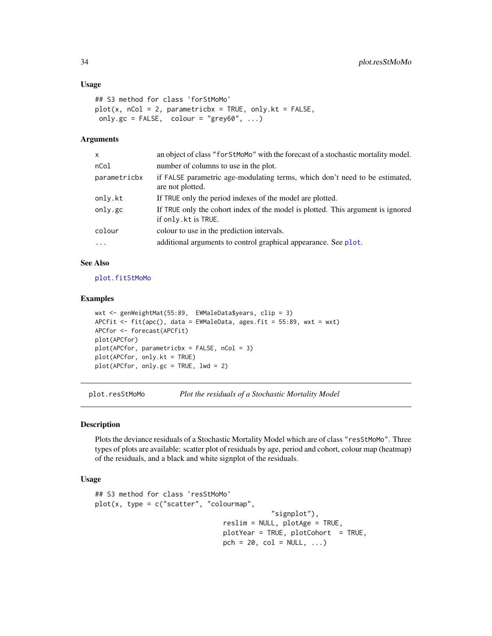#### <span id="page-33-0"></span>Usage

```
## S3 method for class 'forStMoMo'
plot(x, nCol = 2, parametricbx = TRUE, only.kt = FALSE,only.gc = FALSE, color = "grey60", ...)
```
#### Arguments

| X.           | an object of class "for StMoMo" with the forecast of a stochastic mortality model.                      |
|--------------|---------------------------------------------------------------------------------------------------------|
| nCol         | number of columns to use in the plot.                                                                   |
| parametricbx | if FALSE parametric age-modulating terms, which don't need to be estimated,<br>are not plotted.         |
| only.kt      | If TRUE only the period indexes of the model are plotted.                                               |
| only.gc      | If TRUE only the cohort index of the model is plotted. This argument is ignored<br>if only. kt is TRUE. |
| colour       | colour to use in the prediction intervals.                                                              |
| $\cdots$     | additional arguments to control graphical appearance. See plot.                                         |
|              |                                                                                                         |

## See Also

[plot.fitStMoMo](#page-32-1)

#### Examples

```
wxt <- genWeightMat(55:89, EWMaleData$years, clip = 3)
APCfit <- fit(apc(), data = EWMaleData, ages.fit = 55:89, wxt = wxt)
APCfor <- forecast(APCfit)
plot(APCfor)
plot(APCfor, parametricbx = FALSE, nCol = 3)
plot(APCfor, only.kt = TRUE)
plot(APCfor, only.gc = TRUE, lwd = 2)
```
<span id="page-33-1"></span>plot.resStMoMo *Plot the residuals of a Stochastic Mortality Model*

## Description

Plots the deviance residuals of a Stochastic Mortality Model which are of class "resStMoMo". Three types of plots are available: scatter plot of residuals by age, period and cohort, colour map (heatmap) of the residuals, and a black and white signplot of the residuals.

## Usage

```
## S3 method for class 'resStMoMo'
plot(x, type = c("scatter", "colourmap","signplot"),
                                reslim = NULL, plotAge = TRUE,
                               plotYear = TRUE, plotColor = TRUE,pch = 20, col = NULL, ...)
```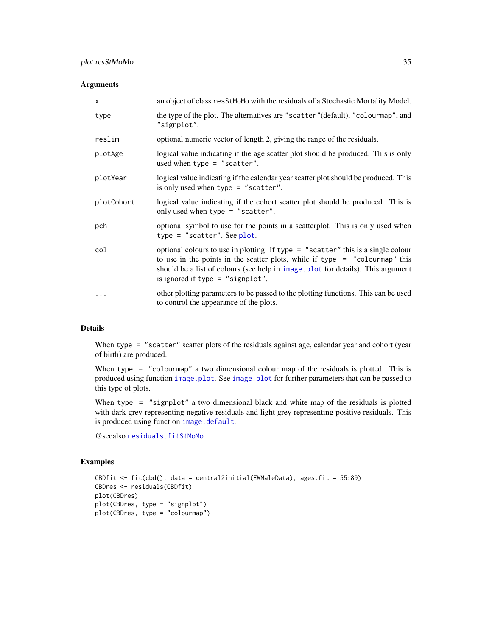## <span id="page-34-0"></span>plot.resStMoMo 35

## Arguments

| $\times$   | an object of class resstmomo with the residuals of a Stochastic Mortality Model.                                                                                                                                                                                                             |
|------------|----------------------------------------------------------------------------------------------------------------------------------------------------------------------------------------------------------------------------------------------------------------------------------------------|
| type       | the type of the plot. The alternatives are "scatter" (default), "colourmap", and<br>"signplot".                                                                                                                                                                                              |
| reslim     | optional numeric vector of length 2, giving the range of the residuals.                                                                                                                                                                                                                      |
| plotAge    | logical value indicating if the age scatter plot should be produced. This is only<br>used when type $=$ "scatter".                                                                                                                                                                           |
| plotYear   | logical value indicating if the calendar year scatter plot should be produced. This<br>is only used when type $=$ "scatter".                                                                                                                                                                 |
| plotCohort | logical value indicating if the cohort scatter plot should be produced. This is<br>only used when type $=$ "scatter".                                                                                                                                                                        |
| pch        | optional symbol to use for the points in a scatterplot. This is only used when<br>type = $"scatter"$ . See plot.                                                                                                                                                                             |
| col        | optional colours to use in plotting. If type $=$ "scatter" this is a single colour<br>to use in the points in the scatter plots, while if type $=$ "colourmap" this<br>should be a list of colours (see help in image plot for details). This argument<br>is ignored if type $=$ "signplot". |
| $\cdots$   | other plotting parameters to be passed to the plotting functions. This can be used<br>to control the appearance of the plots.                                                                                                                                                                |

## Details

When type = "scatter" scatter plots of the residuals against age, calendar year and cohort (year of birth) are produced.

When type = "colourmap" a two dimensional colour map of the residuals is plotted. This is produced using function [image.plot](#page-0-0). See [image.plot](#page-0-0) for further parameters that can be passed to this type of plots.

When type = "signplot" a two dimensional black and white map of the residuals is plotted with dark grey representing negative residuals and light grey representing positive residuals. This is produced using function [image.default](#page-0-0).

@seealso [residuals.fitStMoMo](#page-37-1)

```
CBDfit <- fit(cbd(), data = central2initial(EWMaleData), ages.fit = 55:89)
CBDres <- residuals(CBDfit)
plot(CBDres)
plot(CBDres, type = "signplot")
plot(CBDres, type = "colourmap")
```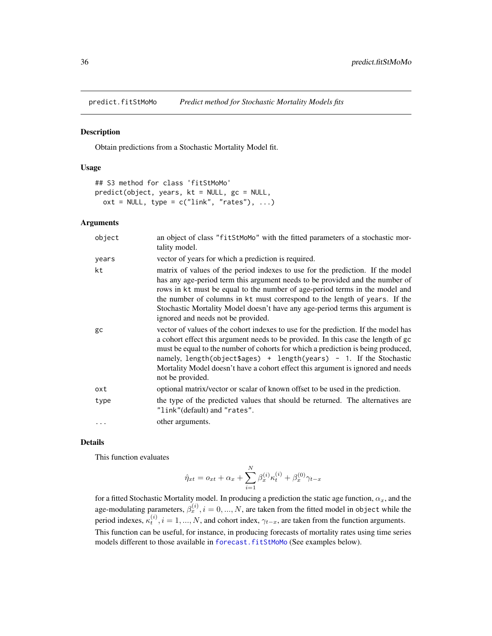<span id="page-35-0"></span>

Obtain predictions from a Stochastic Mortality Model fit.

## Usage

```
## S3 method for class 'fitStMoMo'
predict(object, years, kt = NULL, gc = NULL,
 ext = NULL, type = c("link", "rates"), ...)
```
#### Arguments

| object | an object of class "fitStMoMo" with the fitted parameters of a stochastic mor-<br>tality model.                                                                                                                                                                                                                                                                                                                                                    |
|--------|----------------------------------------------------------------------------------------------------------------------------------------------------------------------------------------------------------------------------------------------------------------------------------------------------------------------------------------------------------------------------------------------------------------------------------------------------|
| years  | vector of years for which a prediction is required.                                                                                                                                                                                                                                                                                                                                                                                                |
| kt     | matrix of values of the period indexes to use for the prediction. If the model<br>has any age-period term this argument needs to be provided and the number of<br>rows in kt must be equal to the number of age-period terms in the model and<br>the number of columns in kt must correspond to the length of years. If the<br>Stochastic Mortality Model doesn't have any age-period terms this argument is<br>ignored and needs not be provided. |
| gc     | vector of values of the cohort indexes to use for the prediction. If the model has<br>a cohort effect this argument needs to be provided. In this case the length of gc<br>must be equal to the number of cohorts for which a prediction is being produced,<br>namely, length(object\$ages) + length(years) - 1. If the Stochastic<br>Mortality Model doesn't have a cohort effect this argument is ignored and needs<br>not be provided.          |
| oxt    | optional matrix/vector or scalar of known offset to be used in the prediction.                                                                                                                                                                                                                                                                                                                                                                     |
| type   | the type of the predicted values that should be returned. The alternatives are<br>"link"(default) and "rates".                                                                                                                                                                                                                                                                                                                                     |
| .      | other arguments.                                                                                                                                                                                                                                                                                                                                                                                                                                   |

## Details

This function evaluates

$$
\hat{\eta}_{xt} = o_{xt} + \alpha_x + \sum_{i=1}^{N} \beta_x^{(i)} \kappa_t^{(i)} + \beta_x^{(0)} \gamma_{t-x}
$$

for a fitted Stochastic Mortality model. In producing a prediction the static age function,  $\alpha_x$ , and the age-modulating parameters,  $\beta_x^{(i)}, i=0,...,N$ , are taken from the fitted model in object while the period indexes,  $\kappa_t^{(i)}$ ,  $i = 1, ..., N$ , and cohort index,  $\gamma_{t-x}$ , are taken from the function arguments. This function can be useful, for instance, in producing forecasts of mortality rates using time series models different to those available in [forecast.fitStMoMo](#page-17-1) (See examples below).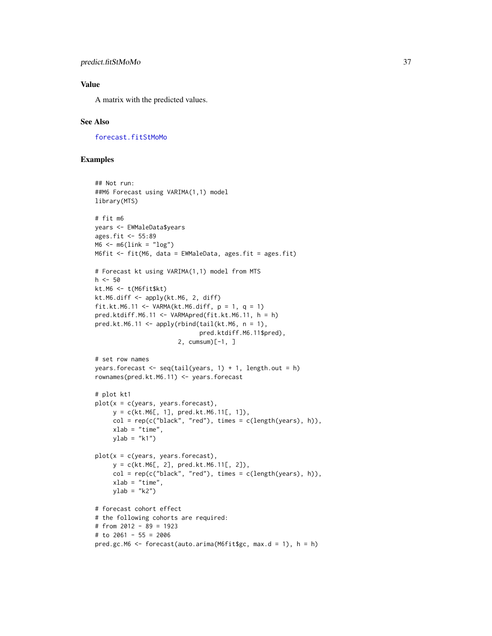## <span id="page-36-0"></span>predict.fitStMoMo 37

## Value

A matrix with the predicted values.

#### See Also

[forecast.fitStMoMo](#page-17-1)

```
## Not run:
##M6 Forecast using VARIMA(1,1) model
library(MTS)
# fit m6
years <- EWMaleData$years
ages.fit <- 55:89
M6 < - m6(link = "log")
M6fit <- fit(M6, data = EWMaleData, ages.fit = ages.fit)
# Forecast kt using VARIMA(1,1) model from MTS
h < -50kt.M6 <- t(M6fit$kt)
kt.M6.diff <- apply(kt.M6, 2, diff)
fit.kt.M6.11 <- VARMA(kt.M6.diff, p = 1, q = 1)
pred.ktdiff.M6.11 <- VARMApred(fit.kt.M6.11, h = h)
pred.kt.M6.11 <- apply(rbind(tail(kt.M6, n = 1),
                             pred.ktdiff.M6.11$pred),
                       2, cumsum)[-1, ]
# set row names
years.forecast <- seq(tail(years, 1) + 1, length.out = h)
rownames(pred.kt.M6.11) <- years.forecast
# plot kt1
plot(x = c(years, years, forces),y = c(kt.M6[, 1], pred.kt.M6.11[, 1]),
     col = rep(c("black", "red"), times = c(length(years), h)),xlab = "time",
    ylab = "k1")plot(x = c(years, years, forces),y = c(kt.M6[, 2], pred.kt.M6.11[, 2]),
     col = rep(c("black", "red"), times = c(length(years), h)),xlab = "time",ylab = "k2")# forecast cohort effect
# the following cohorts are required:
# from 2012 - 89 = 1923
# to 2061 - 55 = 2006
pred.gc.M6 <- forecast(auto.arima(M6fit$gc, max.d = 1), h = h)
```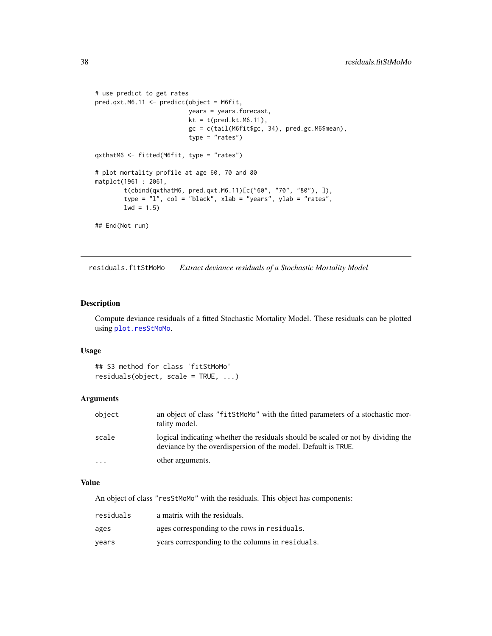```
# use predict to get rates
pred.qxt.M6.11 <- predict(object = M6fit,
                         years = years.forecast,
                          kt = t(pred.txt.M6.11),gc = c(tail(M6fit$gc, 34), pred.gc.M6$mean),
                          type = "rates")qxthatM6 <- fitted(M6fit, type = "rates")
# plot mortality profile at age 60, 70 and 80
matplot(1961 : 2061,
        t(cbind(qxthatM6, pred.qxt.M6.11)[c("60", "70", "80"), ]),
        type = "l", col = "black", xlab = "years", ylab = "rates",
       1wd = 1.5)
## End(Not run)
```
<span id="page-37-1"></span>residuals.fitStMoMo *Extract deviance residuals of a Stochastic Mortality Model*

#### Description

Compute deviance residuals of a fitted Stochastic Mortality Model. These residuals can be plotted using [plot.resStMoMo](#page-33-1).

#### Usage

```
## S3 method for class 'fitStMoMo'
residuals(object, scale = TRUE, ...)
```
#### Arguments

| object            | an object of class "fitst Momo" with the fitted parameters of a stochastic mor-<br>tality model.                                                  |
|-------------------|---------------------------------------------------------------------------------------------------------------------------------------------------|
| scale             | logical indicating whether the residuals should be scaled or not by dividing the<br>deviance by the overdispersion of the model. Default is TRUE. |
| $\cdot\cdot\cdot$ | other arguments.                                                                                                                                  |

#### Value

An object of class "resStMoMo" with the residuals. This object has components:

| residuals | a matrix with the residuals.                     |
|-----------|--------------------------------------------------|
| ages      | ages corresponding to the rows in residuals.     |
| vears     | years corresponding to the columns in residuals. |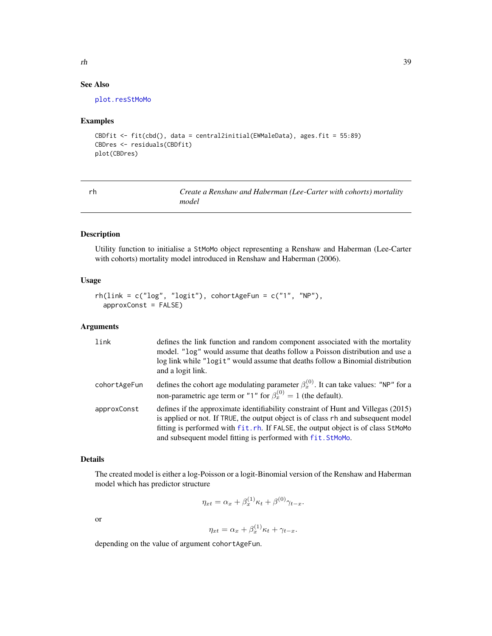## See Also

[plot.resStMoMo](#page-33-1)

#### Examples

```
CBDfit <- fit(cbd(), data = central2initial(EWMaleData), ages.fit = 55:89)
CBDres <- residuals(CBDfit)
plot(CBDres)
```
<span id="page-38-1"></span>

| ۰.<br>٠ |
|---------|
|         |

rh *Create a Renshaw and Haberman (Lee-Carter with cohorts) mortality model*

## Description

Utility function to initialise a StMoMo object representing a Renshaw and Haberman (Lee-Carter with cohorts) mortality model introduced in Renshaw and Haberman (2006).

## Usage

```
rh(link = c("log", "logit"), cohortAgeFun = c("1", "NP"),approxConst = FALSE)
```
## Arguments

| link         | defines the link function and random component associated with the mortality<br>model. "log" would assume that deaths follow a Poisson distribution and use a<br>log link while "logit" would assume that deaths follow a Binomial distribution<br>and a logit link.                                                      |
|--------------|---------------------------------------------------------------------------------------------------------------------------------------------------------------------------------------------------------------------------------------------------------------------------------------------------------------------------|
| cohortAgeFun | defines the cohort age modulating parameter $\beta_x^{(0)}$ . It can take values: "NP" for a<br>non-parametric age term or "1" for $\beta_x^{(0)} = 1$ (the default).                                                                                                                                                     |
| approxConst  | defines if the approximate identifiability constraint of Hunt and Villegas (2015)<br>is applied or not. If TRUE, the output object is of class rh and subsequent model<br>fitting is performed with fit.rh. If FALSE, the output object is of class StMoMo<br>and subsequent model fitting is performed with fit. StMoMo. |

## Details

The created model is either a log-Poisson or a logit-Binomial version of the Renshaw and Haberman model which has predictor structure

$$
\eta_{xt} = \alpha_x + \beta_x^{(1)} \kappa_t + \beta^{(0)} \gamma_{t-x}.
$$

or

 $\eta_{xt} = \alpha_x + \beta_x^{(1)} \kappa_t + \gamma_{t-x}.$ 

depending on the value of argument cohortAgeFun.

<span id="page-38-0"></span>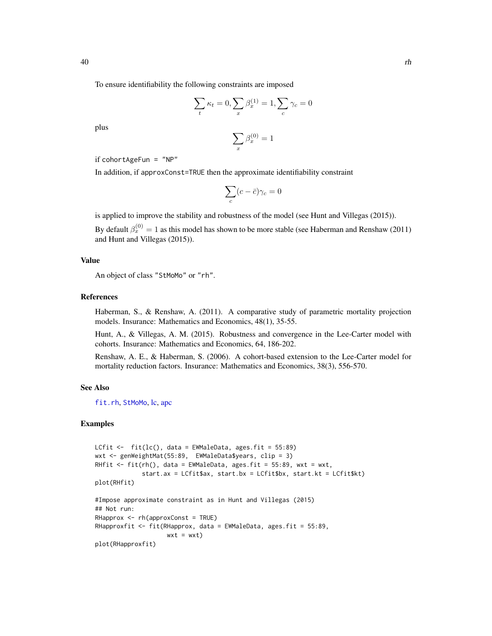<span id="page-39-0"></span>To ensure identifiability the following constraints are imposed

$$
\sum_{t} \kappa_t = 0, \sum_{x} \beta_x^{(1)} = 1, \sum_{c} \gamma_c = 0
$$

plus

$$
\sum_{x} \beta_x^{(0)} = 1
$$

if cohortAgeFun = "NP"

In addition, if approxConst=TRUE then the approximate identifiability constraint

$$
\sum_c (c - \bar{c}) \gamma_c = 0
$$

is applied to improve the stability and robustness of the model (see Hunt and Villegas (2015)).

By default  $\beta_x^{(0)} = 1$  as this model has shown to be more stable (see Haberman and Renshaw (2011) and Hunt and Villegas (2015)).

#### Value

An object of class "StMoMo" or "rh".

#### References

Haberman, S., & Renshaw, A. (2011). A comparative study of parametric mortality projection models. Insurance: Mathematics and Economics, 48(1), 35-55.

Hunt, A., & Villegas, A. M. (2015). Robustness and convergence in the Lee-Carter model with cohorts. Insurance: Mathematics and Economics, 64, 186-202.

Renshaw, A. E., & Haberman, S. (2006). A cohort-based extension to the Lee-Carter model for mortality reduction factors. Insurance: Mathematics and Economics, 38(3), 556-570.

#### See Also

[fit.rh](#page-10-1), [StMoMo](#page-47-1), [lc,](#page-24-2) [apc](#page-2-1)

```
LCfit \leftarrow fit(lc(), data = EWMaleData, ages.fit = 55:89)
wxt <- genWeightMat(55:89, EWMaleData$years, clip = 3)
RHfit \le fit(rh(), data = EWMaleData, ages.fit = 55:89, wxt = wxt,
             start.ax = LCfit$ax, start.bx = LCfit$bx, start.kt = LCfit$kt)
plot(RHfit)
#Impose approximate constraint as in Hunt and Villegas (2015)
## Not run:
RHapprox <- rh(approxConst = TRUE)
RHapproxfit <- fit(RHapprox, data = EWMaleData, ages.fit = 55:89,
                    wxt = wxt)plot(RHapproxfit)
```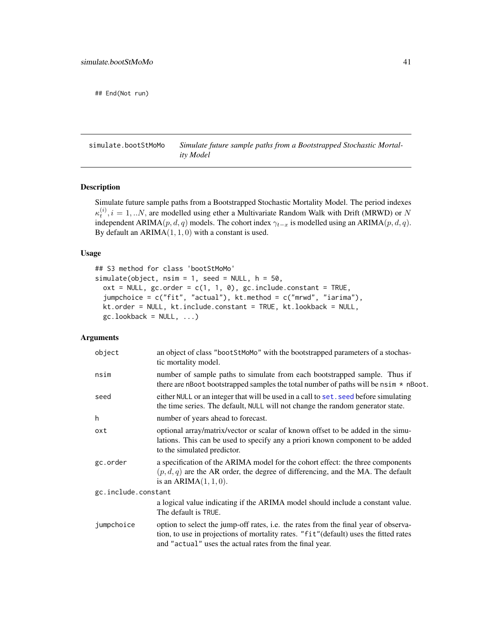<span id="page-40-0"></span>## End(Not run)

<span id="page-40-1"></span>simulate.bootStMoMo *Simulate future sample paths from a Bootstrapped Stochastic Mortality Model*

## Description

Simulate future sample paths from a Bootstrapped Stochastic Mortality Model. The period indexes  $\kappa_t^{(i)}$ ,  $i = 1,..N$ , are modelled using ether a Multivariate Random Walk with Drift (MRWD) or N independent ARIMA( $p, d, q$ ) models. The cohort index  $\gamma_{t-x}$  is modelled using an ARIMA( $p, d, q$ ). By default an  $ARIMA(1, 1, 0)$  with a constant is used.

#### Usage

```
## S3 method for class 'bootStMoMo'
simulate(object, nsim = 1, seed = NULL, h = 50,
  ext = NULL, g\cdot order = c(1, 1, 0), g\cdot. include.constant = TRUE,
  jumpchoice = c("fit", "actual"), kt.method = c("mrwd", "iarima"),
  kt.order = NULL, kt.include.constant = TRUE, kt.lookback = NULL,
  gc. lookback = NULL, ...)
```
## Arguments

| object              | an object of class "bootStMoMo" with the bootstrapped parameters of a stochas-<br>tic mortality model.                                                                                                                                  |
|---------------------|-----------------------------------------------------------------------------------------------------------------------------------------------------------------------------------------------------------------------------------------|
| nsim                | number of sample paths to simulate from each bootstrapped sample. Thus if<br>there are nBoot bootstrapped samples the total number of paths will be $nsim \star nBoot$ .                                                                |
| seed                | either NULL or an integer that will be used in a call to set, seed before simulating<br>the time series. The default, NULL will not change the random generator state.                                                                  |
| h                   | number of years ahead to forecast.                                                                                                                                                                                                      |
| oxt                 | optional array/matrix/vector or scalar of known offset to be added in the simu-<br>lations. This can be used to specify any a priori known component to be added<br>to the simulated predictor.                                         |
| gc.order            | a specification of the ARIMA model for the cohort effect: the three components<br>$(p, d, q)$ are the AR order, the degree of differencing, and the MA. The default<br>is an ARIMA $(1, 1, 0)$ .                                        |
| gc.include.constant |                                                                                                                                                                                                                                         |
|                     | a logical value indicating if the ARIMA model should include a constant value.<br>The default is TRUE.                                                                                                                                  |
| jumpchoice          | option to select the jump-off rates, i.e. the rates from the final year of observa-<br>tion, to use in projections of mortality rates. "fit" (default) uses the fitted rates<br>and "actual" uses the actual rates from the final year. |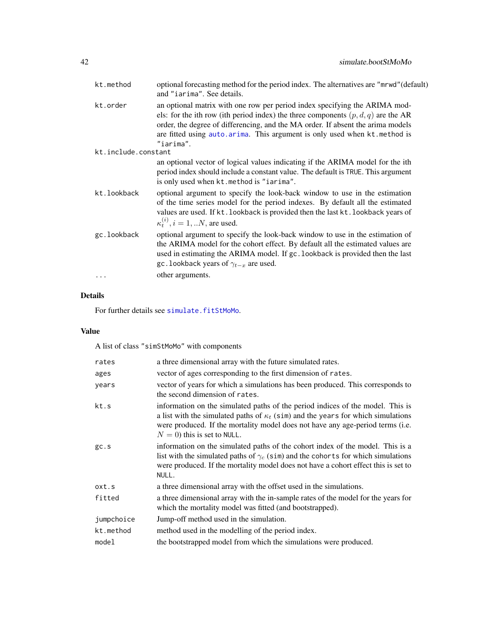<span id="page-41-0"></span>

| kt.method           | optional forecasting method for the period index. The alternatives are "mrwd" (default)<br>and "iarima". See details.                                                                                                                                                                                                                            |
|---------------------|--------------------------------------------------------------------------------------------------------------------------------------------------------------------------------------------------------------------------------------------------------------------------------------------------------------------------------------------------|
| kt.order            | an optional matrix with one row per period index specifying the ARIMA mod-<br>els: for the ith row (ith period index) the three components $(p, d, q)$ are the AR<br>order, the degree of differencing, and the MA order. If absent the arima models<br>are fitted using auto. arima. This argument is only used when kt. method is<br>"iarima". |
| kt.include.constant |                                                                                                                                                                                                                                                                                                                                                  |
|                     | an optional vector of logical values indicating if the ARIMA model for the ith<br>period index should include a constant value. The default is TRUE. This argument<br>is only used when kt.method is "iarima".                                                                                                                                   |
| kt.lookback         | optional argument to specify the look-back window to use in the estimation<br>of the time series model for the period indexes. By default all the estimated<br>values are used. If kt. lookback is provided then the last kt. lookback years of<br>$\kappa_t^{(i)}$ , $i = 1, N$ , are used.                                                     |
| gc.lookback         | optional argument to specify the look-back window to use in the estimation of<br>the ARIMA model for the cohort effect. By default all the estimated values are<br>used in estimating the ARIMA model. If gc. lookback is provided then the last<br>gc. lookback years of $\gamma_{t-x}$ are used.                                               |
| $\cdots$            | other arguments.                                                                                                                                                                                                                                                                                                                                 |
|                     |                                                                                                                                                                                                                                                                                                                                                  |

## Details

For further details see [simulate.fitStMoMo](#page-42-1).

## Value

A list of class "simStMoMo" with components

| rates      | a three dimensional array with the future simulated rates.                                                                                                                                                                                                                                    |
|------------|-----------------------------------------------------------------------------------------------------------------------------------------------------------------------------------------------------------------------------------------------------------------------------------------------|
| ages       | vector of ages corresponding to the first dimension of rates.                                                                                                                                                                                                                                 |
| vears      | vector of years for which a simulations has been produced. This corresponds to<br>the second dimension of rates.                                                                                                                                                                              |
| kt.s       | information on the simulated paths of the period indices of the model. This is<br>a list with the simulated paths of $\kappa_t$ (sim) and the years for which simulations<br>were produced. If the mortality model does not have any age-period terms (i.e.<br>$N = 0$ ) this is set to NULL. |
| gc.s       | information on the simulated paths of the cohort index of the model. This is a<br>list with the simulated paths of $\gamma_c$ (sim) and the cohorts for which simulations<br>were produced. If the mortality model does not have a cohort effect this is set to<br>NULL.                      |
| oxt.s      | a three dimensional array with the offset used in the simulations.                                                                                                                                                                                                                            |
| fitted     | a three dimensional array with the in-sample rates of the model for the years for<br>which the mortality model was fitted (and bootstrapped).                                                                                                                                                 |
| jumpchoice | Jump-off method used in the simulation.                                                                                                                                                                                                                                                       |
| kt.method  | method used in the modelling of the period index.                                                                                                                                                                                                                                             |
| model      | the bootstrapped model from which the simulations were produced.                                                                                                                                                                                                                              |
|            |                                                                                                                                                                                                                                                                                               |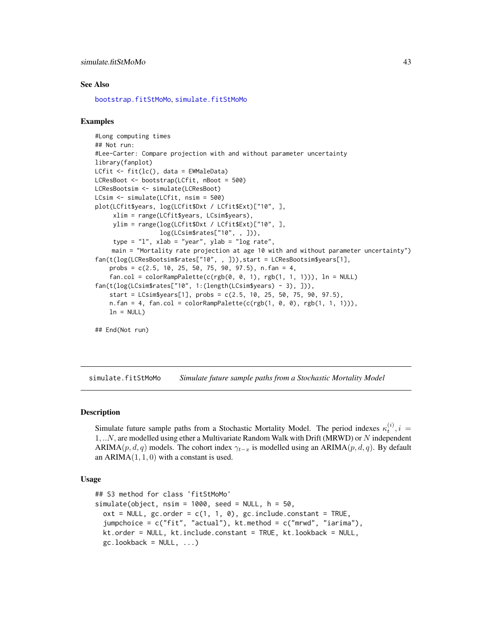#### <span id="page-42-0"></span>simulate.fitStMoMo 43

#### See Also

[bootstrap.fitStMoMo](#page-3-1), [simulate.fitStMoMo](#page-42-1)

#### Examples

```
#Long computing times
## Not run:
#Lee-Carter: Compare projection with and without parameter uncertainty
library(fanplot)
LCfit <- fit(lc(), data = EWMaleData)
LCResBoot <- bootstrap(LCfit, nBoot = 500)
LCResBootsim <- simulate(LCResBoot)
LCsim <- simulate(LCfit, nsim = 500)
plot(LCfit$years, log(LCfit$Dxt / LCfit$Ext)["10", ],
     xlim = range(LCfit$years, LCsim$years),
     ylim = range(log(LCfit$Dxt / LCfit$Ext)["10", ],
                  log(LCsim$rates["10", , ])),
     type = "l", xlab = "year", ylab = "log rate",
    main = "Mortality rate projection at age 10 with and without parameter uncertainty")
fan(t(log(LCResBootsim$rates["10", , ])),start = LCResBootsim$years[1],
    probs = c(2.5, 10, 25, 50, 75, 90, 97.5), n.fan = 4,
    fan.col = colorRamPalette(c(rgb(0, 0, 1), rgb(1, 1, 1)))), In = NULL)fan(t(log(LCsim$rates["10", 1:(length(LCsim$years) - 3), ])),
    start = LCsim$years[1], probs = c(2.5, 10, 25, 50, 75, 90, 97.5),n.fan = 4, fan.col = colorRampPalette(c(rgb(1, 0, 0), rgb(1, 1, 1))),ln = NULL)## End(Not run)
```
<span id="page-42-1"></span>simulate.fitStMoMo *Simulate future sample paths from a Stochastic Mortality Model*

#### Description

Simulate future sample paths from a Stochastic Mortality Model. The period indexes  $\kappa_t^{(i)}$ ,  $i =$  $1,..N$ , are modelled using ether a Multivariate Random Walk with Drift (MRWD) or N independent ARIMA( $p, d, q$ ) models. The cohort index  $\gamma_{t-x}$  is modelled using an ARIMA( $p, d, q$ ). By default an ARIMA $(1, 1, 0)$  with a constant is used.

#### Usage

```
## S3 method for class 'fitStMoMo'
simulate(object, nsim = 1000, seed = NULL, h = 50,
  ext = NULL, gc.order = c(1, 1, 0), gc.include. constant = TRUE,
  jumpchoice = c("fit", "actual"), kt.method = c("mrwd", "iarima"),
  kt.order = NULL, kt.include.constant = TRUE, kt.lookback = NULL,
  gc. lookback = NULL, ...)
```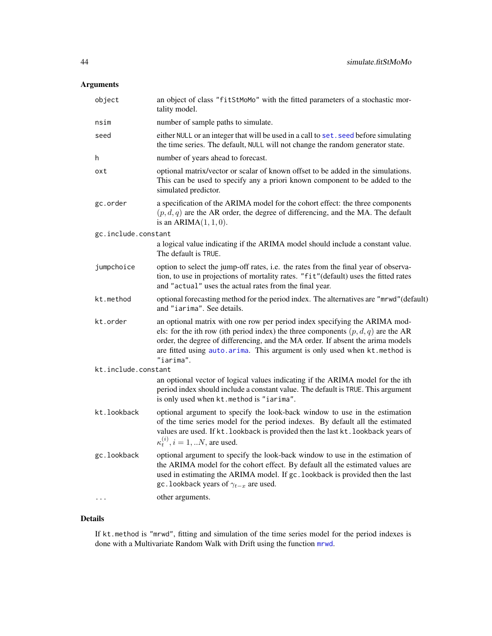## <span id="page-43-0"></span>Arguments

| object              | an object of class "fitStMoMo" with the fitted parameters of a stochastic mor-<br>tality model.                                                                                                                                                                                                                                                |
|---------------------|------------------------------------------------------------------------------------------------------------------------------------------------------------------------------------------------------------------------------------------------------------------------------------------------------------------------------------------------|
| nsim                | number of sample paths to simulate.                                                                                                                                                                                                                                                                                                            |
| seed                | either NULL or an integer that will be used in a call to set. seed before simulating<br>the time series. The default, NULL will not change the random generator state.                                                                                                                                                                         |
| h                   | number of years ahead to forecast.                                                                                                                                                                                                                                                                                                             |
| oxt                 | optional matrix/vector or scalar of known offset to be added in the simulations.<br>This can be used to specify any a priori known component to be added to the<br>simulated predictor.                                                                                                                                                        |
| gc.order            | a specification of the ARIMA model for the cohort effect: the three components<br>$(p, d, q)$ are the AR order, the degree of differencing, and the MA. The default<br>is an ARIMA $(1, 1, 0)$ .                                                                                                                                               |
| gc.include.constant |                                                                                                                                                                                                                                                                                                                                                |
|                     | a logical value indicating if the ARIMA model should include a constant value.<br>The default is TRUE.                                                                                                                                                                                                                                         |
| jumpchoice          | option to select the jump-off rates, i.e. the rates from the final year of observa-<br>tion, to use in projections of mortality rates. "fit" (default) uses the fitted rates<br>and "actual" uses the actual rates from the final year.                                                                                                        |
| kt.method           | optional forecasting method for the period index. The alternatives are "mrwd"(default)<br>and "iarima". See details.                                                                                                                                                                                                                           |
| kt.order            | an optional matrix with one row per period index specifying the ARIMA mod-<br>els: for the ith row (ith period index) the three components $(p, d, q)$ are the AR<br>order, the degree of differencing, and the MA order. If absent the arima models<br>are fitted using auto.arima. This argument is only used when kt.method is<br>"iarima". |
| kt.include.constant |                                                                                                                                                                                                                                                                                                                                                |
|                     | an optional vector of logical values indicating if the ARIMA model for the ith<br>period index should include a constant value. The default is TRUE. This argument<br>is only used when kt.method is "iarima".                                                                                                                                 |
| kt.lookback         | optional argument to specify the look-back window to use in the estimation<br>of the time series model for the period indexes. By default all the estimated<br>values are used. If kt. lookback is provided then the last kt. lookback years of<br>$\kappa_t^{(i)}$ , $i = 1, N$ , are used.                                                   |
| gc.lookback         | optional argument to specify the look-back window to use in the estimation of<br>the ARIMA model for the cohort effect. By default all the estimated values are<br>used in estimating the ARIMA model. If gc. lookback is provided then the last<br>gc. lookback years of $\gamma_{t-x}$ are used.                                             |
| $\cdots$            | other arguments.                                                                                                                                                                                                                                                                                                                               |

## Details

If kt.method is "mrwd", fitting and simulation of the time series model for the period indexes is done with a Multivariate Random Walk with Drift using the function [mrwd](#page-30-1).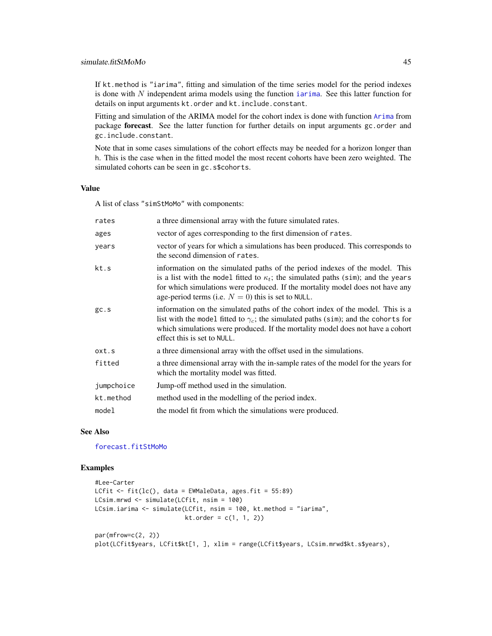<span id="page-44-0"></span>If kt.method is "iarima", fitting and simulation of the time series model for the period indexes is done with  $N$  independent arima models using the function [iarima](#page-23-1). See this latter function for details on input arguments kt.order and kt.include.constant.

Fitting and simulation of the ARIMA model for the cohort index is done with function [Arima](#page-0-0) from package forecast. See the latter function for further details on input arguments gc.order and gc.include.constant.

Note that in some cases simulations of the cohort effects may be needed for a horizon longer than h. This is the case when in the fitted model the most recent cohorts have been zero weighted. The simulated cohorts can be seen in gc.s\$cohorts.

#### Value

A list of class "simStMoMo" with components:

| rates      | a three dimensional array with the future simulated rates.                                                                                                                                                                                                                                                        |
|------------|-------------------------------------------------------------------------------------------------------------------------------------------------------------------------------------------------------------------------------------------------------------------------------------------------------------------|
| ages       | vector of ages corresponding to the first dimension of rates.                                                                                                                                                                                                                                                     |
| years      | vector of years for which a simulations has been produced. This corresponds to<br>the second dimension of rates.                                                                                                                                                                                                  |
| kt.s       | information on the simulated paths of the period indexes of the model. This<br>is a list with the model fitted to $\kappa_t$ ; the simulated paths (sim); and the years<br>for which simulations were produced. If the mortality model does not have any<br>age-period terms (i.e. $N = 0$ ) this is set to NULL. |
| gc.s       | information on the simulated paths of the cohort index of the model. This is a<br>list with the model fitted to $\gamma_c$ ; the simulated paths (sim); and the cohorts for<br>which simulations were produced. If the mortality model does not have a cohort<br>effect this is set to NULL.                      |
| oxt.s      | a three dimensional array with the offset used in the simulations.                                                                                                                                                                                                                                                |
| fitted     | a three dimensional array with the in-sample rates of the model for the years for<br>which the mortality model was fitted.                                                                                                                                                                                        |
| jumpchoice | Jump-off method used in the simulation.                                                                                                                                                                                                                                                                           |
| kt.method  | method used in the modelling of the period index.                                                                                                                                                                                                                                                                 |
| model      | the model fit from which the simulations were produced.                                                                                                                                                                                                                                                           |

## See Also

[forecast.fitStMoMo](#page-17-1)

```
#Lee-Carter
LCfit \le fit(lc(), data = EWMaleData, ages.fit = 55:89)
LCsim.mrwd <- simulate(LCfit, nsim = 100)
LCsim.iarima <- simulate(LCfit, nsim = 100, kt.method = "iarima",
                        kt. order = c(1, 1, 2)par(mfrow=c(2, 2))plot(LCfit$years, LCfit$kt[1, ], xlim = range(LCfit$years, LCsim.mrwd$kt.s$years),
```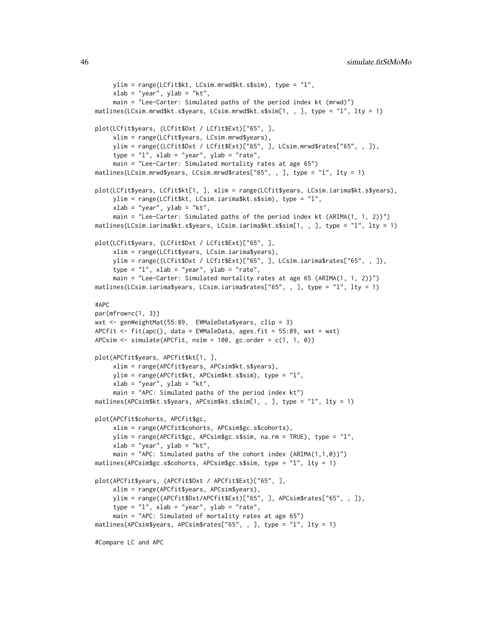```
ylim = range(LCfit$kt, LCsim.mrwd$kt.s$sim), type = "l",
     xlab = "year", ylab = "kt",
     main = "Lee-Carter: Simulated paths of the period index kt (mrwd)")
matlines(LCsim.mrwd$kt.s$years, LCsim.mrwd$kt.s$sim[1, , ], type = "l", lty = 1)
plot(LCfit$years, (LCfit$Dxt / LCfit$Ext)["65", ],
     xlim = range(LCfit$years, LCsim.mrwd$years),
     ylim = range((LCfit$Dxt / LCfit$Ext)["65", ], LCsim.mrwd$rates["65", , ]),
     type = "1", xlab = "year", ylab = "rate",
     main = "Lee-Carter: Simulated mortality rates at age 65")
matlines(LCsim.mrwd$years, LCsim.mrwd$rates["65", , ], type = "l", lty = 1)
plot(LCfit$years, LCfit$kt[1, ], xlim = range(LCfit$years, LCsim.iarima$kt.s$years),
     ylim = range(LCfit$kt, LCsim.iarima$kt.s$sim), type = "l",
     xlab = "year", ylab = "kt",
     main = "Lee-Carter: Simulated paths of the period index kt (ARIMA(1, 1, 2))")
matlines(LCsim.iarima$kt.s$years, LCsim.iarima$kt.s$sim[1, , ], type = "l", lty = 1)
plot(LCfit$years, (LCfit$Dxt / LCfit$Ext)["65", ],
     xlim = range(LCfit$years, LCsim.iarima$years),
     ylim = range((LCfit$Dxt / LCfit$Ext)["65", ], LCsim.iarima$rates["65", , ]),
     type = "1", xlab = "year", ylab = "rate",
     main = "Lee-Carter: Simulated mortality rates at age 65 (ARIMA(1, 1, 2))")
matlines(LCsim.iarima$years, LCsim.iarima$rates["65", , ], type = "l", lty = 1)
#APC
par(mfrow=c(1, 3))
wxt <- genWeightMat(55:89, EWMaleData$years, clip = 3)
APCfit <- fit(apc(), data = EWMaleData, ages.fit = 55:89, wxt = wxt)
APCsim <- simulate(APCfit, nsim = 100, gc.order = c(1, 1, 0))
plot(APCfit$years, APCfit$kt[1, ],
     xlim = range(APCfit$years, APCsim$kt.s$years),
     ylim = range(APCfit$kt, APCsim$kt.s$sim), type = "l",
     xlab = "year", ylab = "kt",
     main = "APC: Simulated paths of the period index kt")
matlines(APCsim$kt.s$years, APCsim$kt.s$sim[1, , ], type = "l", lty = 1)
plot(APCfit$cohorts, APCfit$gc,
     xlim = range(APCfit$cohorts, APCsim$gc.s$cohorts),
     ylim = range(APCfit$gc, APCsim$gc.s$sim, na.rm = TRUE), type = "l",
     xlab = "year", ylab = "kt",
     main = "APC: Simulated paths of the cohort index (ARIMA(1,1,0))")
matlines(APCsim$gc.s$cohorts, APCsim$gc.s$sim, type = "l", lty = 1)
plot(APCfit$years, (APCfit$Dxt / APCfit$Ext)["65", ],
     xlim = range(APCfit$years, APCsim$years),
     ylim = range((APCfit$Dxt/APCfit$Ext)["65", ], APCsim$rates["65", , ]),
     type = "1", xlab = "year", ylab = "rate",
     main = "APC: Simulated of mortality rates at age 65")
matlines(APCsim$years, APCsim$rates["65", , ], type = "l", lty = 1)
```
#Compare LC and APC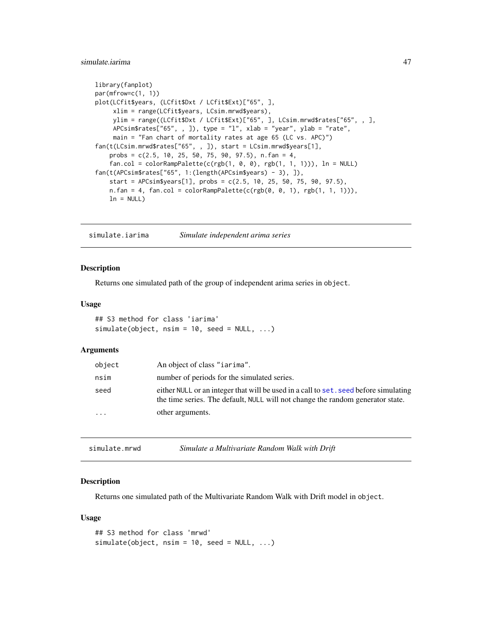## <span id="page-46-0"></span>simulate.iarima 47

```
library(fanplot)
par(mfrow=c(1, 1))
plot(LCfit$years, (LCfit$Dxt / LCfit$Ext)["65", ],
     xlim = range(LCfit$years, LCsim.mrwd$years),
     ylim = range((LCfit$Dxt / LCfit$Ext)["65", ], LCsim.mrwd$rates["65", , ],
    APCsim$rates["65", , ]), type = "l", xlab = "year", ylab = "rate",
    main = "Fan chart of mortality rates at age 65 (LC vs. APC)")
fan(t(LCsim.mrwd$rates["65", , ]), start = LCsim.mrwd$years[1],
   probs = c(2.5, 10, 25, 50, 75, 90, 97.5), n.fan = 4,
    fan.col = colorRampPalette(c(rgb(1, 0, 0), rgb(1, 1, 1)))), In = NULL)fan(t(APCsim$rates["65", 1:(length(APCsim$years) - 3), ]),
    start = APCsim$years[1], probs = c(2.5, 10, 25, 50, 75, 90, 97.5),
   n.fan = 4, fan.col = colorRampPalette(c(rgb(0, 0, 1), rgb(1, 1, 1))),ln = NULL)
```
simulate.iarima *Simulate independent arima series*

#### Description

Returns one simulated path of the group of independent arima series in object.

## Usage

## S3 method for class 'iarima'  $simulate(object, nsim = 10, seed = NULL, ...)$ 

#### Arguments

| object                  | An object of class "iarima".                                                                                                                                           |
|-------------------------|------------------------------------------------------------------------------------------------------------------------------------------------------------------------|
| nsim                    | number of periods for the simulated series.                                                                                                                            |
| seed                    | either NULL or an integer that will be used in a call to set, seed before simulating<br>the time series. The default, NULL will not change the random generator state. |
| $\cdot$ $\cdot$ $\cdot$ | other arguments.                                                                                                                                                       |

| Simulate a Multivariate Random Walk with Drift |
|------------------------------------------------|

## Description

Returns one simulated path of the Multivariate Random Walk with Drift model in object.

#### Usage

```
## S3 method for class 'mrwd'
simulate(object, nsim = 10, seed = NULL, ...)
```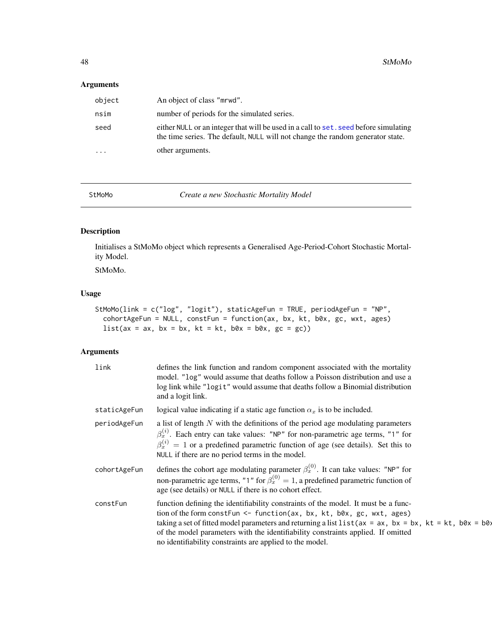## <span id="page-47-0"></span>Arguments

| object                  | An object of class "mrwd".                                                                                                                                             |
|-------------------------|------------------------------------------------------------------------------------------------------------------------------------------------------------------------|
| nsim                    | number of periods for the simulated series.                                                                                                                            |
| seed                    | either NULL or an integer that will be used in a call to set, seed before simulating<br>the time series. The default, NULL will not change the random generator state. |
| $\cdot$ $\cdot$ $\cdot$ | other arguments.                                                                                                                                                       |

<span id="page-47-1"></span>

StMoMo *Create a new Stochastic Mortality Model*

## Description

Initialises a StMoMo object which represents a Generalised Age-Period-Cohort Stochastic Mortality Model.

StMoMo.

## Usage

```
StMoMo(link = c("log", "logit"), staticAgeFun = TRUE, periodAgeFun = "NP",
  cohortAgeFun = NULL, constFun = function(ax, bx, kt, b0x, gc, wxt, ages)
  list(ax = ax, bx = bx, kt = kt, b0x = b0x, gc = gc))
```
## Arguments

| link         | defines the link function and random component associated with the mortality<br>model. "log" would assume that deaths follow a Poisson distribution and use a<br>log link while "logit" would assume that deaths follow a Binomial distribution<br>and a logit link.                                                                                                                                                   |
|--------------|------------------------------------------------------------------------------------------------------------------------------------------------------------------------------------------------------------------------------------------------------------------------------------------------------------------------------------------------------------------------------------------------------------------------|
| staticAgeFun | logical value indicating if a static age function $\alpha_x$ is to be included.                                                                                                                                                                                                                                                                                                                                        |
| periodAgeFun | a list of length $N$ with the definitions of the period age modulating parameters<br>$\beta_x^{(i)}$ . Each entry can take values: "NP" for non-parametric age terms, "1" for<br>$\beta_x^{(i)} = 1$ or a predefined parametric function of age (see details). Set this to<br>NULL if there are no period terms in the model.                                                                                          |
| cohortAgeFun | defines the cohort age modulating parameter $\beta_x^{(0)}$ . It can take values: "NP" for<br>non-parametric age terms, "1" for $\beta_x^{(0)} = 1$ , a predefined parametric function of<br>age (see details) or NULL if there is no cohort effect.                                                                                                                                                                   |
| constFun     | function defining the identifiability constraints of the model. It must be a func-<br>tion of the form constFun <- function(ax, bx, kt, b0x, gc, wxt, ages)<br>taking a set of fitted model parameters and returning a list list (ax = ax, bx = bx, kt = kt, b0x = b0)<br>of the model parameters with the identifiability constraints applied. If omitted<br>no identifiability constraints are applied to the model. |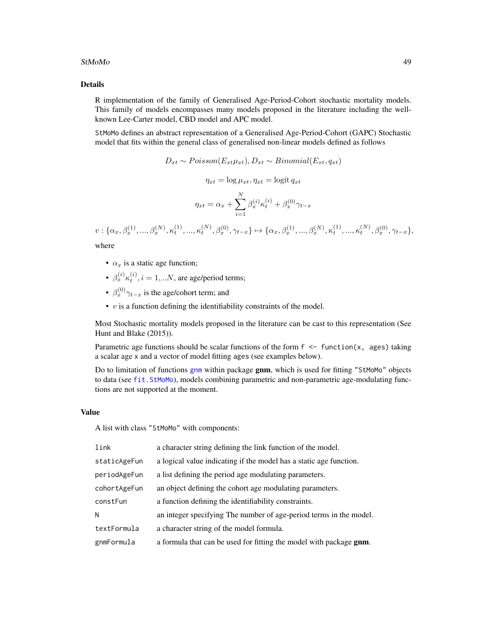#### <span id="page-48-0"></span>StMoMo and the state of the state of the state of the state of the state of the state of the state of the state of the state of the state of the state of the state of the state of the state of the state of the state of the

#### Details

R implementation of the family of Generalised Age-Period-Cohort stochastic mortality models. This family of models encompasses many models proposed in the literature including the wellknown Lee-Carter model, CBD model and APC model.

StMoMo defines an abstract representation of a Generalised Age-Period-Cohort (GAPC) Stochastic model that fits within the general class of generalised non-linear models defined as follows

$$
D_{xt} \sim Poisson(E_{xt} \mu_{xt}), D_{xt} \sim Binomial(E_{xt}, q_{xt})
$$

$$
\eta_{xt} = \log \mu_{xt}, \eta_{xt} = \log \chi_{xt}
$$

$$
\eta_{xt} = \alpha_x + \sum_{i=1}^{N} \beta_x^{(i)} \kappa_t^{(i)} + \beta_x^{(0)} \gamma_{t-x}
$$

 $v:\{\alpha_x,\beta_x^{(1)},...,\beta_x^{(N)},\kappa_t^{(1)},...,\kappa_t^{(N)},\beta_x^{(0)},\gamma_{t-x}\}\mapsto \{\alpha_x,\beta_x^{(1)},...,\beta_x^{(N)},\kappa_t^{(1)},...,\kappa_t^{(N)},\beta_x^{(0)},\gamma_{t-x}\},$ where

- $\alpha_x$  is a static age function;
- $\beta_x^{(i)} \kappa_t^{(i)}$ ,  $i = 1, ...N$ , are age/period terms;
- $\beta_x^{(0)} \gamma_{t-x}$  is the age/cohort term; and
- $v$  is a function defining the identifiability constraints of the model.

Most Stochastic mortality models proposed in the literature can be cast to this representation (See Hunt and Blake (2015)).

Parametric age functions should be scalar functions of the form  $f \leq -f$  function $(x, g)$  taking a scalar age x and a vector of model fitting ages (see examples below).

Do to limitation of functions [gnm](#page-0-0) within package gnm, which is used for fitting "StMoMo" objects to data (see [fit.StMoMo](#page-13-1)), models combining parametric and non-parametric age-modulating functions are not supported at the moment.

## Value

A list with class "StMoMo" with components:

| link         | a character string defining the link function of the model.        |
|--------------|--------------------------------------------------------------------|
| staticAgeFun | a logical value indicating if the model has a static age function. |
| periodAgeFun | a list defining the period age modulating parameters.              |
| cohortAgeFun | an object defining the cohort age modulating parameters.           |
| constFun     | a function defining the identifiability constraints.               |
| N            | an integer specifying The number of age-period terms in the model. |
| textFormula  | a character string of the model formula.                           |
| gnmFormula   | a formula that can be used for fitting the model with package gnm. |
|              |                                                                    |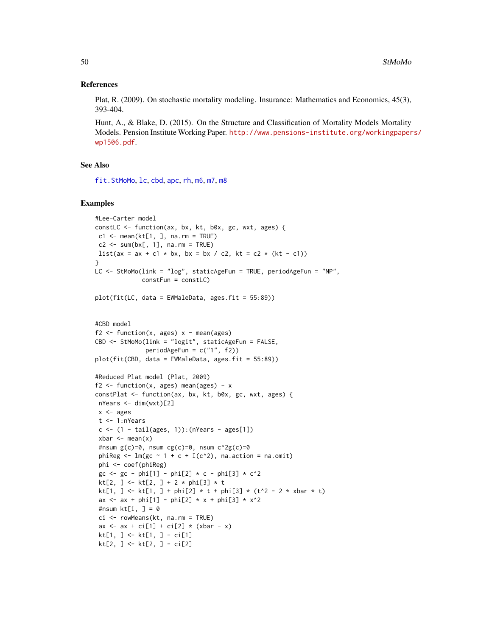#### <span id="page-49-0"></span>References

Plat, R. (2009). On stochastic mortality modeling. Insurance: Mathematics and Economics, 45(3), 393-404.

Hunt, A., & Blake, D. (2015). On the Structure and Classification of Mortality Models Mortality Models. Pension Institute Working Paper. [http://www.pensions-institute.org/workingpaper](http://www.pensions-institute.org/workingpapers/wp1506.pdf)s/ [wp1506.pdf](http://www.pensions-institute.org/workingpapers/wp1506.pdf).

#### See Also

[fit.StMoMo](#page-13-1), [lc](#page-24-2), [cbd](#page-5-1), [apc](#page-2-1), [rh](#page-38-1), [m6](#page-26-1), [m7](#page-27-1), [m8](#page-29-1)

```
#Lee-Carter model
constLC <- function(ax, bx, kt, b0x, gc, wxt, ages) {
c1 \leq mean(kt[1, ], na.rm = TRUE)
c2 \le -\text{sum}(bx[, 1], \text{na.rm = TRUE}list(ax = ax + c1 * bx, bx = bx / c2, kt = c2 * (kt - c1))}
LC <- StMoMo(link = "log", staticAgeFun = TRUE, periodAgeFun = "NP",
             constFun = constLC)
plot(fit(LC, data = EWMaleData, ages.fit = 55:89))
#CBD model
f2 \le function(x, ages) x - mean(ages)
CBD <- StMoMo(link = "logit", staticAgeFun = FALSE,
              periodAgeFun = c("1", f2))
plot(fit(CBD, data = EWMaleData, ages.fit = 55:89))
#Reduced Plat model (Plat, 2009)
f2 \le function(x, ages) mean(ages) - x
constPlat <- function(ax, bx, kt, b0x, gc, wxt, ages) {
nYears <- dim(wxt)[2]
x \leftarrow agest <- 1:nYears
 c \leq (1 - tail(\text{ages}, 1)): (nYears - ages[1])
 xbar < - mean(x)#nsum g(c)=0, nsum cg(c)=0, nsum c^2g(c)=0phiReg \leq lm(gc \sim 1 + c + I(c^2), na.action = na.omit)
 phi <- coef(phiReg)
 gc \leq gc - phi[1] - phi[2] * c - phi[3] * c^2kt[2, ] <- kt[2, ] + 2 * phi[3] * t
 kt[1, ] \leftarrow kt[1, ] + phi[2] * t + phi[3] * (t^2 - 2 * xbar * t)ax <- ax + phi[1] - phi[2] * x + phi[3] * x^2#nsum kt[i, ] = 0ci <- rowMeans(kt, na.rm = TRUE)
 ax <- ax + ci[1] + ci[2] * (xbar - x)
 kt[1, ] <- kt[1, ] - ci[1]
 kt[2, ] <- kt[2, ] - ci[2]
```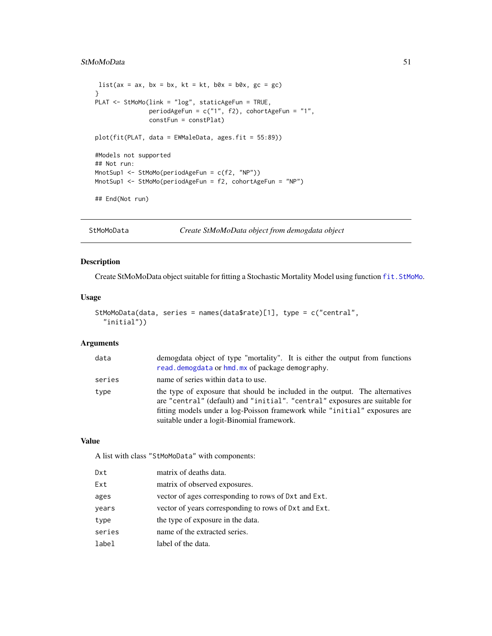## <span id="page-50-0"></span>StMoMoData 51

```
list(ax = ax, bx = bx, kt = kt, b0x = b0x, gc = gc)}
PLAT <- StMoMo(link = "log", staticAgeFun = TRUE,
               periodAgeFun = c("1", f2), cohortAgeFun = "1",
               constFun = constPlat)
plot(fit(PLAT, data = EWMaleData, ages.fit = 55:89))
#Models not supported
## Not run:
MnotSup1 <- StMoMo(periodAgeFun = c(f2, "NP"))
MnotSup1 <- StMoMo(periodAgeFun = f2, cohortAgeFun = "NP")
## End(Not run)
```
<span id="page-50-1"></span>StMoMoData *Create StMoMoData object from demogdata object*

## Description

Create StMoMoData object suitable for fitting a Stochastic Mortality Model using function [fit.StMoMo](#page-13-1).

## Usage

```
StMoMoData(data, series = names(data$rate)[1], type = c("central",
  "initial"))
```
#### Arguments

| data   | demogdata object of type "mortality". It is either the output from functions<br>read.demogdata or hmd.mx of package demography.                                                                                                                                                         |
|--------|-----------------------------------------------------------------------------------------------------------------------------------------------------------------------------------------------------------------------------------------------------------------------------------------|
| series | name of series within data to use.                                                                                                                                                                                                                                                      |
| type   | the type of exposure that should be included in the output. The alternatives<br>are "central" (default) and "initial". "central" exposures are suitable for<br>fitting models under a log-Poisson framework while "initial" exposures are<br>suitable under a logit-Binomial framework. |

## Value

A list with class "StMoMoData" with components:

| Dxt    | matrix of deaths data.                                |
|--------|-------------------------------------------------------|
| Ext    | matrix of observed exposures.                         |
| ages   | vector of ages corresponding to rows of Dxt and Ext.  |
| vears  | vector of years corresponding to rows of Dxt and Ext. |
| type   | the type of exposure in the data.                     |
| series | name of the extracted series.                         |
| label  | label of the data.                                    |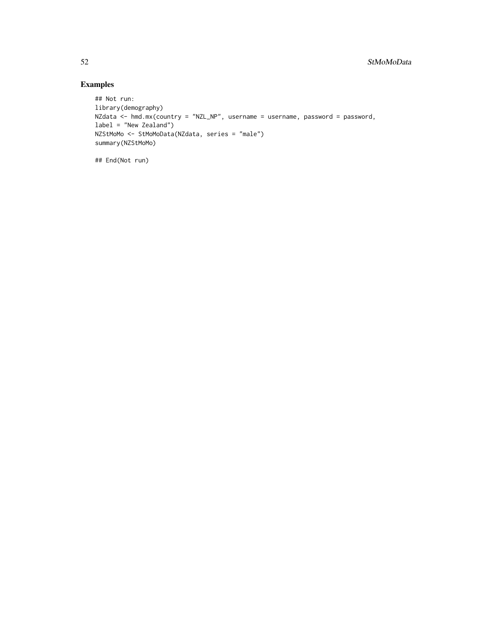## Examples

```
## Not run:
library(demography)
NZdata <- hmd.mx(country = "NZL_NP", username = username, password = password,
label = "New Zealand")
NZStMoMo <- StMoMoData(NZdata, series = "male")
summary(NZStMoMo)
```
## End(Not run)